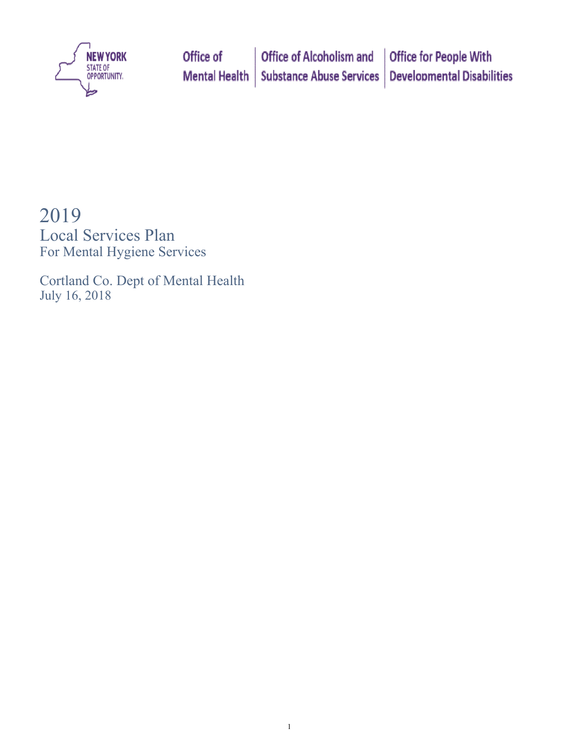

# 2019

Local Services Plan For Mental Hygiene Services

Cortland Co. Dept of Mental Health July 16, 2018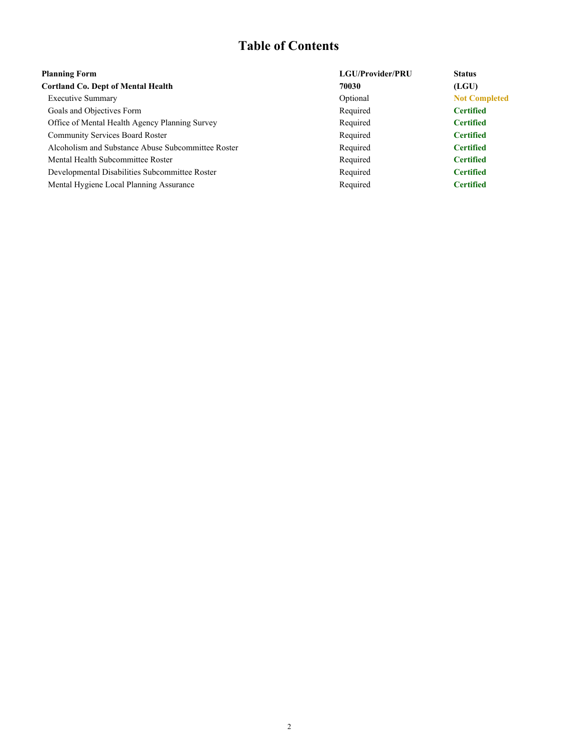## **Table of Contents**

| <b>Planning Form</b>                               | LGU/Provider/PRU | <b>Status</b>        |
|----------------------------------------------------|------------------|----------------------|
| <b>Cortland Co. Dept of Mental Health</b>          | 70030            | (LGU)                |
| <b>Executive Summary</b>                           | Optional         | <b>Not Completed</b> |
| Goals and Objectives Form                          | Required         | <b>Certified</b>     |
| Office of Mental Health Agency Planning Survey     | Required         | <b>Certified</b>     |
| <b>Community Services Board Roster</b>             | Required         | <b>Certified</b>     |
| Alcoholism and Substance Abuse Subcommittee Roster | Required         | <b>Certified</b>     |
| Mental Health Subcommittee Roster                  | Required         | <b>Certified</b>     |
| Developmental Disabilities Subcommittee Roster     | Required         | <b>Certified</b>     |
| Mental Hygiene Local Planning Assurance            | Required         | <b>Certified</b>     |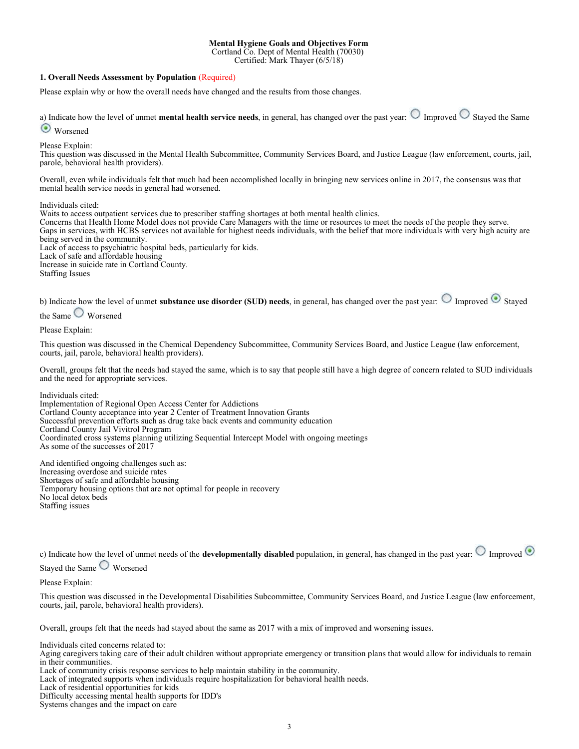#### **Mental Hygiene Goals and Objectives Form**

Cortland Co. Dept of Mental Health (70030)

Certified: Mark Thayer (6/5/18)

#### **1. Overall Needs Assessment by Population** (Required)

Please explain why or how the overall needs have changed and the results from those changes.

a) Indicate how the level of unmet **mental health service needs**, in general, has changed over the past year:  $\bigcirc$  Improved  $\bigcirc$  Stayed the Same **Worsened** 

Please Explain:

This question was discussed in the Mental Health Subcommittee, Community Services Board, and Justice League (law enforcement, courts, jail, parole, behavioral health providers).

Overall, even while individuals felt that much had been accomplished locally in bringing new services online in 2017, the consensus was that mental health service needs in general had worsened.

Individuals cited:

Waits to access outpatient services due to prescriber staffing shortages at both mental health clinics.

Concerns that Health Home Model does not provide Care Managers with the time or resources to meet the needs of the people they serve. Gaps in services, with HCBS services not available for highest needs individuals, with the belief that more individuals with very high acuity are being served in the community.

Lack of access to psychiatric hospital beds, particularly for kids. Lack of safe and affordable housing

Increase in suicide rate in Cortland County.

Staffing Issues

b) Indicate how the level of unmet **substance use disorder (SUD) needs**, in general, has changed over the past year:  $\bigcirc$  Improved  $\bigcirc$  Stayed

the Same Worsened

Please Explain:

This question was discussed in the Chemical Dependency Subcommittee, Community Services Board, and Justice League (law enforcement, courts, jail, parole, behavioral health providers).

Overall, groups felt that the needs had stayed the same, which is to say that people still have a high degree of concern related to SUD individuals and the need for appropriate services.

Individuals cited:

Implementation of Regional Open Access Center for Addictions Cortland County acceptance into year 2 Center of Treatment Innovation Grants Successful prevention efforts such as drug take back events and community education Cortland County Jail Vivitrol Program Coordinated cross systems planning utilizing Sequential Intercept Model with ongoing meetings As some of the successes of 2017

And identified ongoing challenges such as: Increasing overdose and suicide rates Shortages of safe and affordable housing Temporary housing options that are not optimal for people in recovery No local detox beds Staffing issues

c) Indicate how the level of unmet needs of the **developmentally disabled** population, in general, has changed in the past year:  $\bigcirc$  Improved  $\bigcirc$ 

Stayed the Same Worsened

Please Explain:

This question was discussed in the Developmental Disabilities Subcommittee, Community Services Board, and Justice League (law enforcement, courts, jail, parole, behavioral health providers).

Overall, groups felt that the needs had stayed about the same as 2017 with a mix of improved and worsening issues.

Individuals cited concerns related to:

Aging caregivers taking care of their adult children without appropriate emergency or transition plans that would allow for individuals to remain in their communities.

Lack of community crisis response services to help maintain stability in the community.

Lack of integrated supports when individuals require hospitalization for behavioral health needs.

Lack of residential opportunities for kids

Difficulty accessing mental health supports for IDD's

Systems changes and the impact on care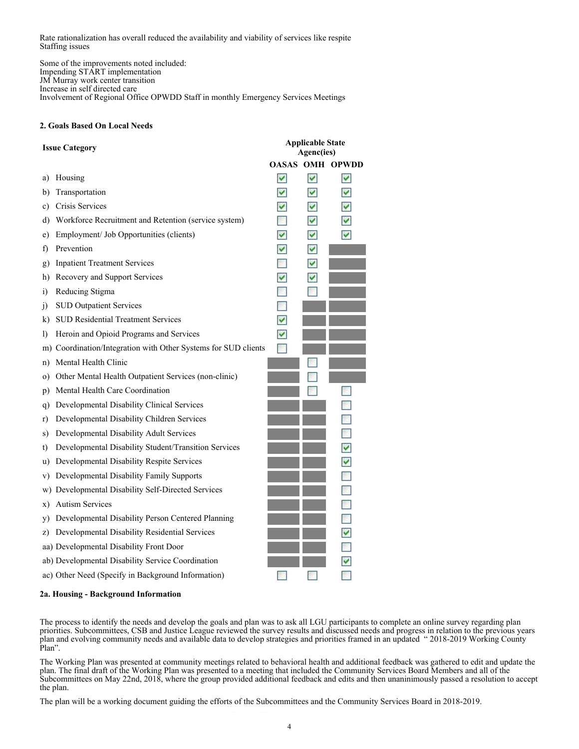Rate rationalization has overall reduced the availability and viability of services like respite Staffing issues

Some of the improvements noted included: Impending START implementation JM Murray work center transition Increase in self directed care Involvement of Regional Office OPWDD Staff in monthly Emergency Services Meetings

#### **2. Goals Based On Local Needs**

| <b>Issue Category</b> |                                                             | <b>Applicable State</b><br><b>Agenc(ies)</b> |     |                  |
|-----------------------|-------------------------------------------------------------|----------------------------------------------|-----|------------------|
|                       |                                                             | <b>OASAS</b>                                 |     | <b>OMH OPWDD</b> |
| a)                    | Housing                                                     | ∣✓∣                                          | ∣✓∣ | ∣✓∣              |
| b)                    | Transportation                                              | $\blacktriangledown$                         | M   | ◛                |
| C)                    | Crisis Services                                             | ᢦ                                            | M   | M                |
| d)                    | Workforce Recruitment and Retention (service system)        |                                              | M   | v                |
| e)                    | Employment/ Job Opportunities (clients)                     | ✓                                            | M   | M                |
| $\ddot{\phantom{1}}$  | Prevention                                                  | м                                            | M   |                  |
| g)                    | <b>Inpatient Treatment Services</b>                         |                                              | M   |                  |
| h)                    | Recovery and Support Services                               | ☑                                            | О   |                  |
| $\bf{1)}$             | Reducing Stigma                                             |                                              |     |                  |
| J)                    | <b>SUD Outpatient Services</b>                              |                                              |     |                  |
| k)                    | <b>SUD Residential Treatment Services</b>                   | ☑                                            |     |                  |
| $\mathbf{D}$          | Heroin and Opioid Programs and Services                     | ☑                                            |     |                  |
| m)                    | Coordination/Integration with Other Systems for SUD clients |                                              |     |                  |
| n)                    | Mental Health Clinic                                        |                                              |     |                  |
| $\circ$ )             | Other Mental Health Outpatient Services (non-clinic)        |                                              |     |                  |
| p)                    | Mental Health Care Coordination                             |                                              |     |                  |
| q)                    | Developmental Disability Clinical Services                  |                                              |     |                  |
| r)                    | Developmental Disability Children Services                  |                                              |     |                  |
| S)                    | Developmental Disability Adult Services                     |                                              |     |                  |
| t)                    | Developmental Disability Student/Transition Services        |                                              |     | ☑                |
| u)                    | Developmental Disability Respite Services                   |                                              |     | ☑                |
| V)                    | Developmental Disability Family Supports                    |                                              |     |                  |
| w)                    | Developmental Disability Self-Directed Services             |                                              |     |                  |
| X)                    | <b>Autism Services</b>                                      |                                              |     |                  |
| y)                    | Developmental Disability Person Centered Planning           |                                              |     | a,               |
| Z)                    | Developmental Disability Residential Services               |                                              |     | ☑                |
|                       | aa) Developmental Disability Front Door                     |                                              |     |                  |
|                       | ab) Developmental Disability Service Coordination           |                                              |     | ⊽                |
|                       | ac) Other Need (Specify in Background Information)          |                                              |     |                  |

#### **2a. Housing - Background Information**

The process to identify the needs and develop the goals and plan was to ask all LGU participants to complete an online survey regarding plan priorities. Subcommittees, CSB and Justice League reviewed the survey results and discussed needs and progress in relation to the previous years plan and evolving community needs and available data to develop strategies and priorities framed in an updated " 2018-2019 Working County Plan".

The Working Plan was presented at community meetings related to behavioral health and additional feedback was gathered to edit and update the plan. The final draft of the Working Plan was presented to a meeting that included the Community Services Board Members and all of the Subcommittees on May 22nd, 2018, where the group provided additional feedback and edits and then unaninimously passed a resolution to accept the plan.

The plan will be a working document guiding the efforts of the Subcommittees and the Community Services Board in 2018-2019.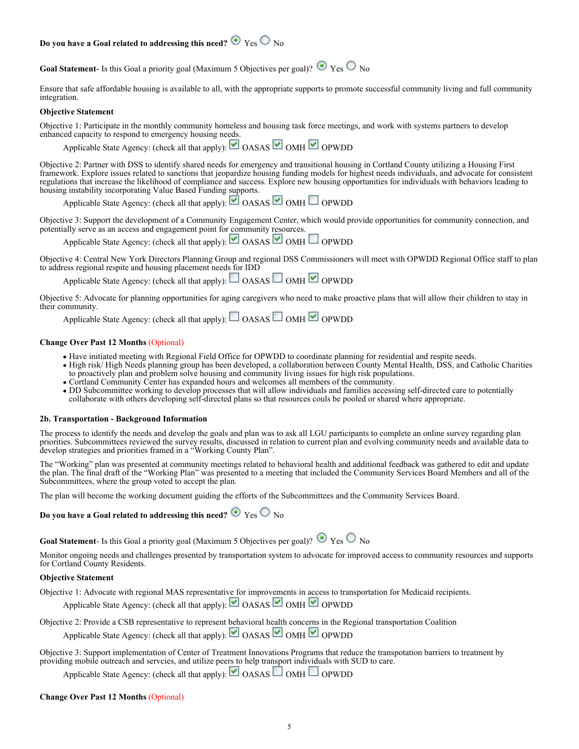### **Do you have a Goal related to addressing this need?**  $\bullet$  Yes  $\circ$  No

**Goal Statement**- Is this Goal a priority goal (Maximum 5 Objectives per goal)?  $\bullet$  Yes  $\circ$  No

Ensure that safe affordable housing is available to all, with the appropriate supports to promote successful community living and full community integration.

#### **Objective Statement**

Objective 1: Participate in the monthly community homeless and housing task force meetings, and work with systems partners to develop enhanced capacity to respond to emergency housing needs.

Applicable State Agency: (check all that apply):  $\Box$  OASAS  $\Box$  OMH  $\Box$  OPWDD

Objective 2: Partner with DSS to identify shared needs for emergency and transitional housing in Cortland County utilizing a Housing First framework. Explore issues related to sanctions that jeopardize housing funding models for highest needs individuals, and advocate for consistent regulations that increase the likelihood of compliance and success. Explore new housing opportunities for individuals with behaviors leading to housing instability incorporating Value Based Funding supports.

Applicable State Agency: (check all that apply): OASAS OMH OPWDD

Objective 3: Support the development of a Community Engagement Center, which would provide opportunities for community connection, and potentially serve as an access and engagement point for community resources.

Applicable State Agency: (check all that apply):  $\Box$  OASAS  $\Box$  OMH  $\Box$  OPWDD

Objective 4: Central New York Directors Planning Group and regional DSS Commissioners will meet with OPWDD Regional Office staff to plan to address regional respite and housing placement needs for IDD

Applicable State Agency: (check all that apply):  $\Box$  OASAS  $\Box$  OMH  $\Box$  OPWDD

Objective 5: Advocate for planning opportunities for aging caregivers who need to make proactive plans that will allow their children to stay in their community.

Applicable State Agency: (check all that apply):  $\Box$  OASAS  $\Box$  OMH  $\Box$  OPWDD

#### **Change Over Past 12 Months** (Optional)

- Have initiated meeting with Regional Field Office for OPWDD to coordinate planning for residential and respite needs.
- High risk/ High Needs planning group has been developed, a collaboration between County Mental Health, DSS, and Catholic Charities to proactively plan and problem solve housing and community living issues for high risk populations.
- Cortland Community Center has expanded hours and welcomes all members of the community.
- DD Subcommittee working to develop processes that will allow individuals and families accessing self-directed care to potentially collaborate with others developing self-directed plans so that resources couls be pooled or shared where appropriate.

#### **2b. Transportation - Background Information**

The process to identify the needs and develop the goals and plan was to ask all LGU participants to complete an online survey regarding plan priorities. Subcommittees reviewed the survey results, discussed in relation to current plan and evolving community needs and available data to develop strategies and priorities framed in a "Working County Plan".

The "Working" plan was presented at community meetings related to behavioral health and additional feedback was gathered to edit and update the plan. The final draft of the "Working Plan" was presented to a meeting that included the Community Services Board Members and all of the Subcommittees, where the group voted to accept the plan.

The plan will become the working document guiding the efforts of the Subcommittees and the Community Services Board.

### **Do you have a Goal related to addressing this need?**  $\bullet$  Yes  $\circ$  No

**Goal Statement**- Is this Goal a priority goal (Maximum 5 Objectives per goal)?  $\bullet$  Yes  $\circ$  No

Monitor ongoing needs and challenges presented by transportation system to advocate for improved access to community resources and supports for Cortland County Residents.

#### **Objective Statement**

Objective 1: Advocate with regional MAS representative for improvements in access to transportation for Medicaid recipients. Applicable State Agency: (check all that apply):  $\Box$  OASAS  $\Box$  OMH  $\Box$  OPWDD

Objective 2: Provide a CSB representative to represent behavioral health concerns in the Regional transportation Coalition

Applicable State Agency: (check all that apply):  $\Box$  OASAS  $\Box$  OMH  $\Box$  OPWDD

Objective 3: Support implementation of Center of Treatment Innovations Programs that reduce the transpotation barriers to treatment by providing mobile outreach and servcies, and utilize peers to help transport individuals with SUD to care.

Applicable State Agency: (check all that apply):  $\Box$  OASAS  $\Box$  OMH  $\Box$  OPWDD

#### **Change Over Past 12 Months** (Optional)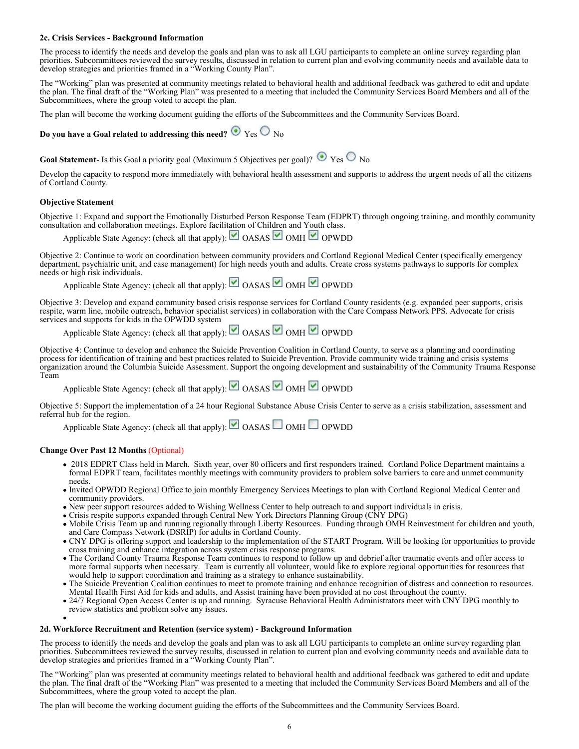#### **2c. Crisis Services - Background Information**

The process to identify the needs and develop the goals and plan was to ask all LGU participants to complete an online survey regarding plan priorities. Subcommittees reviewed the survey results, discussed in relation to current plan and evolving community needs and available data to develop strategies and priorities framed in a "Working County Plan".

The "Working" plan was presented at community meetings related to behavioral health and additional feedback was gathered to edit and update the plan. The final draft of the "Working Plan" was presented to a meeting that included the Community Services Board Members and all of the Subcommittees, where the group voted to accept the plan.

The plan will become the working document guiding the efforts of the Subcommittees and the Community Services Board.

**Do you have a Goal related to addressing this need?**  $\bullet$  Yes  $\circ$  No

**Goal Statement**- Is this Goal a priority goal (Maximum 5 Objectives per goal)?  $\bullet$  Yes  $\circ$  No

Develop the capacity to respond more immediately with behavioral health assessment and supports to address the urgent needs of all the citizens of Cortland County.

#### **Objective Statement**

Objective 1: Expand and support the Emotionally Disturbed Person Response Team (EDPRT) through ongoing training, and monthly community consultation and collaboration meetings. Explore facilitation of Children and Youth class.

Applicable State Agency: (check all that apply): OASAS OMH OPWDD

Objective 2: Continue to work on coordination between community providers and Cortland Regional Medical Center (specifically emergency department, psychiatric unit, and case management) for high needs youth and adults. Create cross systems pathways to supports for complex needs or high risk individuals.

Applicable State Agency: (check all that apply): OASAS OMH OPWDD

Objective 3: Develop and expand community based crisis response services for Cortland County residents (e.g. expanded peer supports, crisis respite, warm line, mobile outreach, behavior specialist services) in collaboration with the Care Compass Network PPS. Advocate for crisis services and supports for kids in the OPWDD system

Applicable State Agency: (check all that apply): OASAS OMH OPWDD

Objective 4: Continue to develop and enhance the Suicide Prevention Coalition in Cortland County, to serve as a planning and coordinating process for identification of training and best practices related to Suicide Prevention. Provide community wide training and crisis systems organization around the Columbia Suicide Assessment. Support the ongoing development and sustainability of the Community Trauma Response Team

Applicable State Agency: (check all that apply): OASAS OMH OPWDD

Objective 5: Support the implementation of a 24 hour Regional Substance Abuse Crisis Center to serve as a crisis stabilization, assessment and referral hub for the region.

Applicable State Agency: (check all that apply): OASAS OMH OPWDD

#### **Change Over Past 12 Months** (Optional)

- 2018 EDPRT Class held in March. Sixth year, over 80 officers and first responders trained. Cortland Police Department maintains a formal EDPRT team, facilitates monthly meetings with community providers to problem solve barriers to care and unmet community needs.
- Invited OPWDD Regional Office to join monthly Emergency Services Meetings to plan with Cortland Regional Medical Center and community providers.
- New peer support resources added to Wishing Wellness Center to help outreach to and support individuals in crisis.
- Crisis respite supports expanded through Central New York Directors Planning Group (CNY DPG)
- Mobile Crisis Team up and running regionally through Liberty Resources. Funding through OMH Reinvestment for children and youth, and Care Compass Network (DSRIP) for adults in Cortland County.
- CNY DPG is offering support and leadership to the implementation of the START Program. Will be looking for opportunities to provide cross training and enhance integration across system crisis response programs.
- The Cortland County Trauma Response Team continues to respond to follow up and debrief after traumatic events and offer access to more formal supports when necessary. Team is currently all volunteer, would like to explore regional opportunities for resources that would help to support coordination and training as a strategy to enhance sustainability.
- The Suicide Prevention Coalition continues to meet to promote training and enhance recognition of distress and connection to resources. Mental Health First Aid for kids and adults, and Assist training have been provided at no cost throughout the county.
- 24/7 Regional Open Access Center is up and running. Syracuse Behavioral Health Administrators meet with CNY DPG monthly to review statistics and problem solve any issues.
- 

### **2d. Workforce Recruitment and Retention (service system) - Background Information**

The process to identify the needs and develop the goals and plan was to ask all LGU participants to complete an online survey regarding plan priorities. Subcommittees reviewed the survey results, discussed in relation to current plan and evolving community needs and available data to develop strategies and priorities framed in a "Working County Plan".

The "Working" plan was presented at community meetings related to behavioral health and additional feedback was gathered to edit and update the plan. The final draft of the "Working Plan" was presented to a meeting that included the Community Services Board Members and all of the Subcommittees, where the group voted to accept the plan.

The plan will become the working document guiding the efforts of the Subcommittees and the Community Services Board.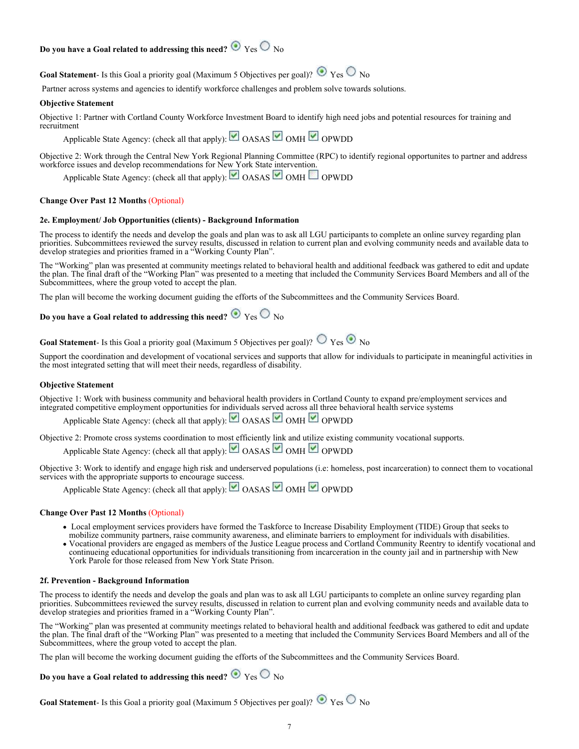### **Do you have a Goal related to addressing this need?**  $\bullet$  Yes  $\circ$  No

**Goal Statement**- Is this Goal a priority goal (Maximum 5 Objectives per goal)?  $\bullet$  Yes  $\circ$  No

Partner across systems and agencies to identify workforce challenges and problem solve towards solutions.

#### **Objective Statement**

Objective 1: Partner with Cortland County Workforce Investment Board to identify high need jobs and potential resources for training and recruitment

Applicable State Agency: (check all that apply): OASAS OMH OPWDD

Objective 2: Work through the Central New York Regional Planning Committee (RPC) to identify regional opportunites to partner and address workforce issues and develop recommendations for New York State intervention.

Applicable State Agency: (check all that apply): OASAS OMH OPWDD

#### **Change Over Past 12 Months** (Optional)

#### **2e. Employment/ Job Opportunities (clients) - Background Information**

The process to identify the needs and develop the goals and plan was to ask all LGU participants to complete an online survey regarding plan priorities. Subcommittees reviewed the survey results, discussed in relation to current plan and evolving community needs and available data to develop strategies and priorities framed in a "Working County Plan".

The "Working" plan was presented at community meetings related to behavioral health and additional feedback was gathered to edit and update the plan. The final draft of the "Working Plan" was presented to a meeting that included the Community Services Board Members and all of the Subcommittees, where the group voted to accept the plan.

The plan will become the working document guiding the efforts of the Subcommittees and the Community Services Board.

### **Do you have a Goal related to addressing this need?**  $\bullet$  Yes  $\circ$  No

**Goal Statement**- Is this Goal a priority goal (Maximum 5 Objectives per goal)?  $\bigcirc$  Yes  $\bigcirc$  No

Support the coordination and development of vocational services and supports that allow for individuals to participate in meaningful activities in the most integrated setting that will meet their needs, regardless of disability.

#### **Objective Statement**

Objective 1: Work with business community and behavioral health providers in Cortland County to expand pre/employment services and integrated competitive employment opportunities for individuals served across all three behavioral health service systems

Applicable State Agency: (check all that apply): OASAS OMH OPWDD

Objective 2: Promote cross systems coordination to most efficiently link and utilize existing community vocational supports.

Applicable State Agency: (check all that apply):  $\Box$  OASAS  $\Box$  OMH  $\Box$  OPWDD

Objective 3: Work to identify and engage high risk and underserved populations (i.e: homeless, post incarceration) to connect them to vocational services with the appropriate supports to encourage success.

Applicable State Agency: (check all that apply): OASAS OMH OPWDD

#### **Change Over Past 12 Months** (Optional)

- Local employment services providers have formed the Taskforce to Increase Disability Employment (TIDE) Group that seeks to mobilize community partners, raise community awareness, and eliminate barriers to employment for individuals with disabilities.
- Vocational providers are engaged as members of the Justice League process and Cortland Community Reentry to identify vocational and continueing educational opportunities for individuals transitioning from incarceration in the county jail and in partnership with New York Parole for those released from New York State Prison.

#### **2f. Prevention - Background Information**

The process to identify the needs and develop the goals and plan was to ask all LGU participants to complete an online survey regarding plan priorities. Subcommittees reviewed the survey results, discussed in relation to current plan and evolving community needs and available data to develop strategies and priorities framed in a "Working County Plan".

The "Working" plan was presented at community meetings related to behavioral health and additional feedback was gathered to edit and update the plan. The final draft of the "Working Plan" was presented to a meeting that included the Community Services Board Members and all of the Subcommittees, where the group voted to accept the plan.

The plan will become the working document guiding the efforts of the Subcommittees and the Community Services Board.

### **Do you have a Goal related to addressing this need?**  $\bullet$  Yes  $\circ$  No

**Goal Statement**- Is this Goal a priority goal (Maximum 5 Objectives per goal)?  $\bullet$  Yes  $\circ$  No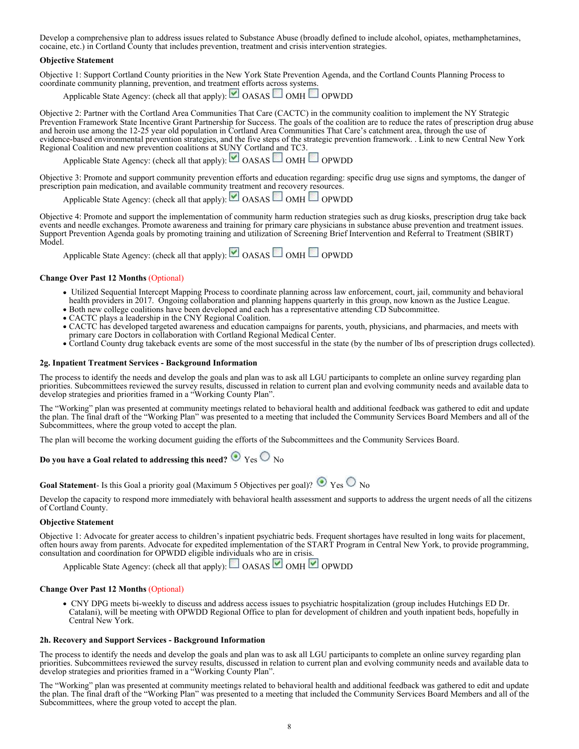Develop a comprehensive plan to address issues related to Substance Abuse (broadly defined to include alcohol, opiates, methamphetamines, cocaine, etc.) in Cortland County that includes prevention, treatment and crisis intervention strategies.

#### **Objective Statement**

Objective 1: Support Cortland County priorities in the New York State Prevention Agenda, and the Cortland Counts Planning Process to coordinate community planning, prevention, and treatment efforts across systems.

Applicable State Agency: (check all that apply): OASAS OMH OPWDD

Objective 2: Partner with the Cortland Area Communities That Care (CACTC) in the community coalition to implement the NY Strategic Prevention Framework State Incentive Grant Partnership for Success. The goals of the coalition are to reduce the rates of prescription drug abuse and heroin use among the 12-25 year old population in Cortland Area Communities That Care's catchment area, through the use of evidence-based environmental prevention strategies, and the five steps of the strategic prevention framework. . Link to new Central New York Regional Coalition and new prevention coalitions at SUNY Cortland and TC3.

Applicable State Agency: (check all that apply):  $\Box$  OASAS  $\Box$  OMH  $\Box$  OPWDD

Objective 3: Promote and support community prevention efforts and education regarding: specific drug use signs and symptoms, the danger of prescription pain medication, and available community treatment and recovery resources.

Applicable State Agency: (check all that apply):  $\Box$  OASAS  $\Box$  OMH  $\Box$  OPWDD

Objective 4: Promote and support the implementation of community harm reduction strategies such as drug kiosks, prescription drug take back events and needle exchanges. Promote awareness and training for primary care physicians in substance abuse prevention and treatment issues. Support Prevention Agenda goals by promoting training and utilization of Screening Brief Intervention and Referral to Treatment (SBIRT) Model.

Applicable State Agency: (check all that apply):  $\Box$  OASAS  $\Box$  OMH  $\Box$  OPWDD

#### **Change Over Past 12 Months** (Optional)

- Utilized Sequential Intercept Mapping Process to coordinate planning across law enforcement, court, jail, community and behavioral health providers in 2017. Ongoing collaboration and planning happens quarterly in this group, now known as the Justice League.
- Both new college coalitions have been developed and each has a representative attending CD Subcommittee.
- CACTC plays a leadership in the CNY Regional Coalition.
- CACTC has developed targeted awareness and education campaigns for parents, youth, physicians, and pharmacies, and meets with primary care Doctors in collaboration with Cortland Regional Medical Center.
- Cortland County drug takeback events are some of the most successful in the state (by the number of lbs of prescription drugs collected).

#### **2g. Inpatient Treatment Services - Background Information**

The process to identify the needs and develop the goals and plan was to ask all LGU participants to complete an online survey regarding plan priorities. Subcommittees reviewed the survey results, discussed in relation to current plan and evolving community needs and available data to develop strategies and priorities framed in a "Working County Plan".

The "Working" plan was presented at community meetings related to behavioral health and additional feedback was gathered to edit and update the plan. The final draft of the "Working Plan" was presented to a meeting that included the Community Services Board Members and all of the Subcommittees, where the group voted to accept the plan.

The plan will become the working document guiding the efforts of the Subcommittees and the Community Services Board.

### **Do you have a Goal related to addressing this need?**  $\bullet$  Yes  $\circ$  No

**Goal Statement**- Is this Goal a priority goal (Maximum 5 Objectives per goal)?  $\bullet$  Yes  $\circ$  No

Develop the capacity to respond more immediately with behavioral health assessment and supports to address the urgent needs of all the citizens of Cortland County.

#### **Objective Statement**

Objective 1: Advocate for greater access to children's inpatient psychiatric beds. Frequent shortages have resulted in long waits for placement, often hours away from parents. Advocate for expedited implementation of the START Program in Central New York, to provide programming, consultation and coordination for OPWDD eligible individuals who are in crisis.

Applicable State Agency: (check all that apply): OASAS OMH OPWDD

#### **Change Over Past 12 Months** (Optional)

 CNY DPG meets bi-weekly to discuss and address access issues to psychiatric hospitalization (group includes Hutchings ED Dr. Catalani), will be meeting with OPWDD Regional Office to plan for development of children and youth inpatient beds, hopefully in Central New York.

#### **2h. Recovery and Support Services - Background Information**

The process to identify the needs and develop the goals and plan was to ask all LGU participants to complete an online survey regarding plan priorities. Subcommittees reviewed the survey results, discussed in relation to current plan and evolving community needs and available data to develop strategies and priorities framed in a "Working County Plan".

The "Working" plan was presented at community meetings related to behavioral health and additional feedback was gathered to edit and update the plan. The final draft of the "Working Plan" was presented to a meeting that included the Community Services Board Members and all of the Subcommittees, where the group voted to accept the plan.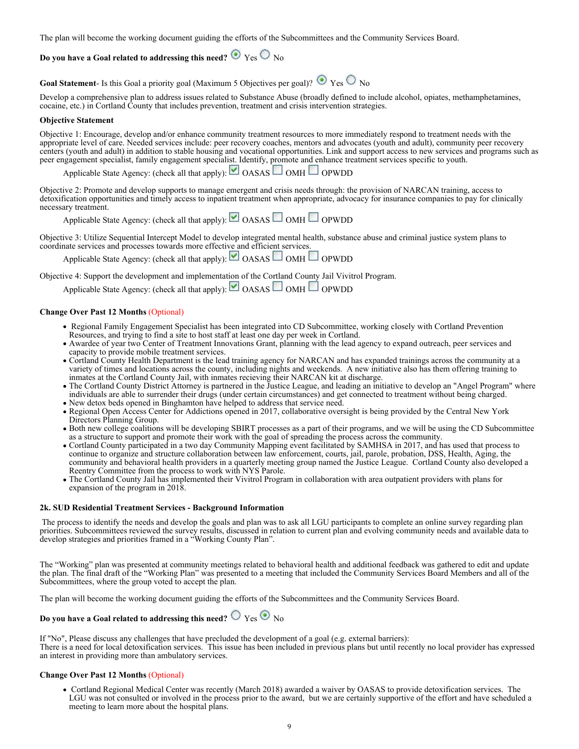The plan will become the working document guiding the efforts of the Subcommittees and the Community Services Board.

### **Do you have a Goal related to addressing this need?**  $\bullet$  Yes  $\circ$  No

**Goal Statement**- Is this Goal a priority goal (Maximum 5 Objectives per goal)?  $\bullet$  Yes  $\circ$  No

Develop a comprehensive plan to address issues related to Substance Abuse (broadly defined to include alcohol, opiates, methamphetamines, cocaine, etc.) in Cortland County that includes prevention, treatment and crisis intervention strategies.

#### **Objective Statement**

Objective 1: Encourage, develop and/or enhance community treatment resources to more immediately respond to treatment needs with the appropriate level of care. Needed services include: peer recovery coaches, mentors and advocates (youth and adult), community peer recovery centers (youth and adult) in addition to stable housing and vocational opportunities. Link and support access to new services and programs such as peer engagement specialist, family engagement specialist. Identify, promote and enhance treatment services specific to youth.

Applicable State Agency: (check all that apply):  $\Box$  OASAS  $\Box$  OMH  $\Box$  OPWDD

Objective 2: Promote and develop supports to manage emergent and crisis needs through: the provision of NARCAN training, access to detoxification opportunities and timely access to inpatient treatment when appropriate, advocacy for insurance companies to pay for clinically necessary treatment.

Applicable State Agency: (check all that apply):  $\Box$  OASAS  $\Box$  OMH  $\Box$  OPWDD

Objective 3: Utilize Sequential Intercept Model to develop integrated mental health, substance abuse and criminal justice system plans to coordinate services and processes towards more effective and efficient services.

Applicable State Agency: (check all that apply):  $\Box$  OASAS  $\Box$  OMH  $\Box$  OPWDD

Objective 4: Support the development and implementation of the Cortland County Jail Vivitrol Program.

Applicable State Agency: (check all that apply): OASAS OMH OPWDD

#### **Change Over Past 12 Months** (Optional)

- Regional Family Engagement Specialist has been integrated into CD Subcommittee, working closely with Cortland Prevention Resources, and trying to find a site to host staff at least one day per week in Cortland.
- Awardee of year two Center of Treatment Innovations Grant, planning with the lead agency to expand outreach, peer services and capacity to provide mobile treatment services.
- Cortland County Health Department is the lead training agency for NARCAN and has expanded trainings across the community at a variety of times and locations across the county, including nights and weekends. A new initiative also has them offering training to inmates at the Cortland County Jail, with inmates recieving their NARCAN kit at discharge.
- The Cortland County District Attorney is partnered in the Justice League, and leading an initiative to develop an "Angel Program" where individuals are able to surrender their drugs (under certain circumstances) and get connected to treatment without being charged. New detox beds opened in Binghamton have helped to address that service need.
- Regional Open Access Center for Addictions opened in 2017, collaborative oversight is being provided by the Central New York Directors Planning Group.
- Both new college coalitions will be developing SBIRT processes as a part of their programs, and we will be using the CD Subcommittee as a structure to support and promote their work with the goal of spreading the process across the community.
- Cortland County participated in a two day Community Mapping event facilitated by SAMHSA in 2017, and has used that process to continue to organize and structure collaboration between law enforcement, courts, jail, parole, probation, DSS, Health, Aging, the community and behavioral health providers in a quarterly meeting group named the Justice League. Cortland County also developed a Reentry Committee from the process to work with NYS Parole.
- The Cortland County Jail has implemented their Vivitrol Program in collaboration with area outpatient providers with plans for expansion of the program in 2018.

#### **2k. SUD Residential Treatment Services - Background Information**

 The process to identify the needs and develop the goals and plan was to ask all LGU participants to complete an online survey regarding plan priorities. Subcommittees reviewed the survey results, discussed in relation to current plan and evolving community needs and available data to develop strategies and priorities framed in a "Working County Plan".

The "Working" plan was presented at community meetings related to behavioral health and additional feedback was gathered to edit and update the plan. The final draft of the "Working Plan" was presented to a meeting that included the Community Services Board Members and all of the Subcommittees, where the group voted to accept the plan.

The plan will become the working document guiding the efforts of the Subcommittees and the Community Services Board.

### **Do you have a Goal related to addressing this need?**  $\bigcirc$  Yes  $\bigcirc$  No

If "No", Please discuss any challenges that have precluded the development of a goal (e.g. external barriers): There is a need for local detoxification services. This issue has been included in previous plans but until recently no local provider has expressed an interest in providing more than ambulatory services.

#### **Change Over Past 12 Months** (Optional)

 Cortland Regional Medical Center was recently (March 2018) awarded a waiver by OASAS to provide detoxification services. The LGU was not consulted or involved in the process prior to the award, but we are certainly supportive of the effort and have scheduled a meeting to learn more about the hospital plans.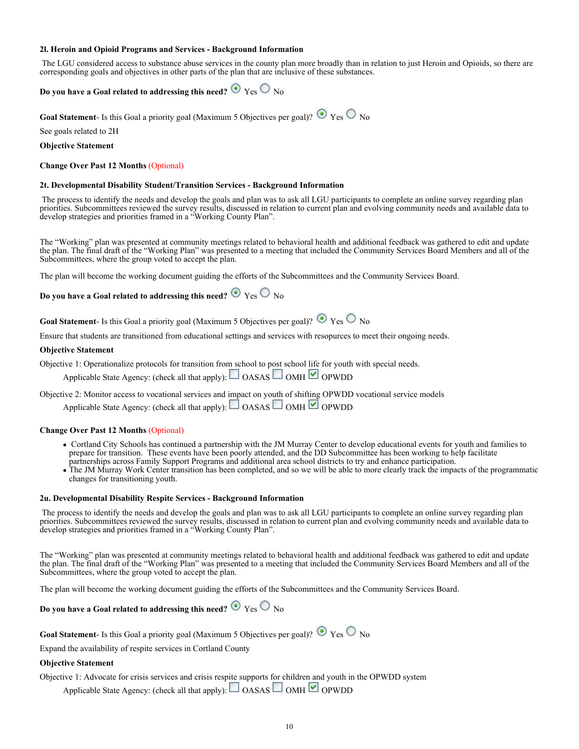#### **2l. Heroin and Opioid Programs and Services - Background Information**

 The LGU considered access to substance abuse services in the county plan more broadly than in relation to just Heroin and Opioids, so there are corresponding goals and objectives in other parts of the plan that are inclusive of these substances.

### **Do you have a Goal related to addressing this need?**  $\bullet$  Yes  $\circ$  No

**Goal Statement**- Is this Goal a priority goal (Maximum 5 Objectives per goal)?  $\bullet$  Yes  $\circ$  No

See goals related to 2H

#### **Objective Statement**

#### **Change Over Past 12 Months** (Optional)

#### **2t. Developmental Disability Student/Transition Services - Background Information**

 The process to identify the needs and develop the goals and plan was to ask all LGU participants to complete an online survey regarding plan priorities. Subcommittees reviewed the survey results, discussed in relation to current plan and evolving community needs and available data to develop strategies and priorities framed in a "Working County Plan".

The "Working" plan was presented at community meetings related to behavioral health and additional feedback was gathered to edit and update the plan. The final draft of the "Working Plan" was presented to a meeting that included the Community Services Board Members and all of the Subcommittees, where the group voted to accept the plan.

The plan will become the working document guiding the efforts of the Subcommittees and the Community Services Board.

### **Do you have a Goal related to addressing this need?**  $\bullet$  Yes  $\circ$  No

**Goal Statement**- Is this Goal a priority goal (Maximum 5 Objectives per goal)?  $\bullet$  Yes  $\circ$  No

Ensure that students are transitioned from educational settings and services with resopurces to meet their ongoing needs.

#### **Objective Statement**

Objective 1: Operationalize protocols for transition from school to post school life for youth with special needs.

Applicable State Agency: (check all that apply):  $\Box$  OASAS  $\Box$  OMH  $\Box$  OPWDD

Objective 2: Monitor access to vocational services and impact on youth of shifting OPWDD vocational service models

Applicable State Agency: (check all that apply):  $\Box$  OASAS  $\Box$  OMH  $\Box$  OPWDD

#### **Change Over Past 12 Months** (Optional)

- Cortland City Schools has continued a partnership with the JM Murray Center to develop educational events for youth and families to prepare for transition. These events have been poorly attended, and the DD Subcommittee has been working to help facilitate partnerships across Family Support Programs and additional area school districts to try and enhance participation.
- The JM Murray Work Center transition has been completed, and so we will be able to more clearly track the impacts of the programmatic changes for transitioning youth.

#### **2u. Developmental Disability Respite Services - Background Information**

 The process to identify the needs and develop the goals and plan was to ask all LGU participants to complete an online survey regarding plan priorities. Subcommittees reviewed the survey results, discussed in relation to current plan and evolving community needs and available data to develop strategies and priorities framed in a "Working County Plan".

The "Working" plan was presented at community meetings related to behavioral health and additional feedback was gathered to edit and update the plan. The final draft of the "Working Plan" was presented to a meeting that included the Community Services Board Members and all of the Subcommittees, where the group voted to accept the plan.

The plan will become the working document guiding the efforts of the Subcommittees and the Community Services Board.

### **Do you have a Goal related to addressing this need?**  $\bullet$  Yes  $\circ$  No

**Goal Statement**- Is this Goal a priority goal (Maximum 5 Objectives per goal)?  $\bullet$  Yes  $\circ$  No

Expand the availability of respite services in Cortland County

#### **Objective Statement**

Objective 1: Advocate for crisis services and crisis respite supports for children and youth in the OPWDD system

Applicable State Agency: (check all that apply): OASAS OMH OPWDD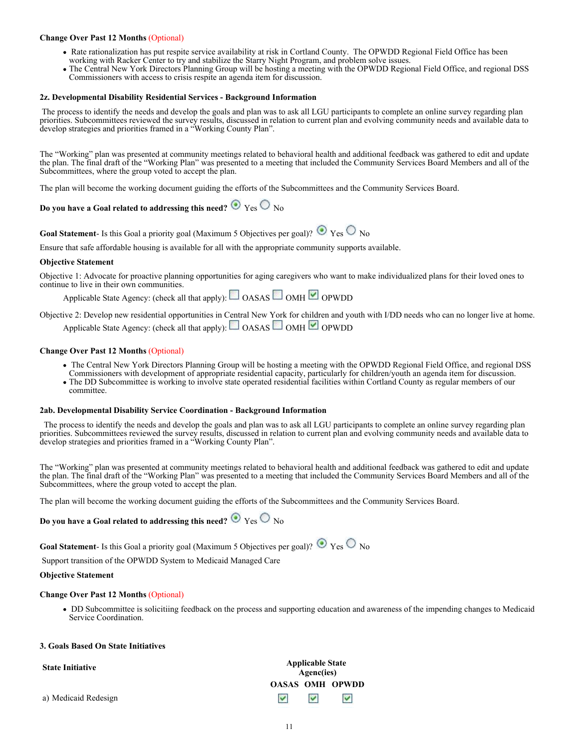#### **Change Over Past 12 Months** (Optional)

- Rate rationalization has put respite service availability at risk in Cortland County. The OPWDD Regional Field Office has been working with Racker Center to try and stabilize the Starry Night Program, and problem solve issues.
- The Central New York Directors Planning Group will be hosting a meeting with the OPWDD Regional Field Office, and regional DSS Commissioners with access to crisis respite an agenda item for discussion.

#### **2z. Developmental Disability Residential Services - Background Information**

 The process to identify the needs and develop the goals and plan was to ask all LGU participants to complete an online survey regarding plan priorities. Subcommittees reviewed the survey results, discussed in relation to current plan and evolving community needs and available data to develop strategies and priorities framed in a "Working County Plan".

The "Working" plan was presented at community meetings related to behavioral health and additional feedback was gathered to edit and update the plan. The final draft of the "Working Plan" was presented to a meeting that included the Community Services Board Members and all of the Subcommittees, where the group voted to accept the plan.

The plan will become the working document guiding the efforts of the Subcommittees and the Community Services Board.

### **Do you have a Goal related to addressing this need?**  $\bullet$  Yes  $\circ$  No

**Goal Statement**- Is this Goal a priority goal (Maximum 5 Objectives per goal)?  $\bullet$  Yes  $\circ$  No

Ensure that safe affordable housing is available for all with the appropriate community supports available.

#### **Objective Statement**

Objective 1: Advocate for proactive planning opportunities for aging caregivers who want to make individualized plans for their loved ones to continue to live in their own communities.

Applicable State Agency: (check all that apply):  $\Box$  OASAS  $\Box$  OMH  $\Box$  OPWDD

Objective 2: Develop new residential opportunities in Central New York for children and youth with I/DD needs who can no longer live at home. Applicable State Agency: (check all that apply):  $\Box$  OASAS  $\Box$  OMH  $\Box$  OPWDD

#### **Change Over Past 12 Months** (Optional)

- The Central New York Directors Planning Group will be hosting a meeting with the OPWDD Regional Field Office, and regional DSS
- Commissioners with development of appropriate residential capacity, particularly for children/youth an agenda item for discussion. The DD Subcommittee is working to involve state operated residential facilities within Cortland County as regular members of our
- committee.

#### **2ab. Developmental Disability Service Coordination - Background Information**

 The process to identify the needs and develop the goals and plan was to ask all LGU participants to complete an online survey regarding plan priorities. Subcommittees reviewed the survey results, discussed in relation to current plan and evolving community needs and available data to develop strategies and priorities framed in a "Working County Plan".

The "Working" plan was presented at community meetings related to behavioral health and additional feedback was gathered to edit and update the plan. The final draft of the "Working Plan" was presented to a meeting that included the Community Services Board Members and all of the Subcommittees, where the group voted to accept the plan.

The plan will become the working document guiding the efforts of the Subcommittees and the Community Services Board.

### **Do you have a Goal related to addressing this need?**  $\bullet$  Yes  $\circ$  No

**Goal Statement**- Is this Goal a priority goal (Maximum 5 Objectives per goal)?  $\bullet$  Yes  $\circ$  No

Support transition of the OPWDD System to Medicaid Managed Care

#### **Objective Statement**

#### **Change Over Past 12 Months** (Optional)

 DD Subcommittee is solicitiing feedback on the process and supporting education and awareness of the impending changes to Medicaid Service Coordination.

#### **3. Goals Based On State Initiatives**

| <b>State Initiative</b> | <b>Applicable State</b><br>Agenc(ies) |                       |                        |
|-------------------------|---------------------------------------|-----------------------|------------------------|
|                         |                                       |                       | <b>OASAS OMH OPWDD</b> |
| a) Medicaid Redesign    | $\blacktriangledown$                  | $\blacktriangleright$ | $\blacktriangleright$  |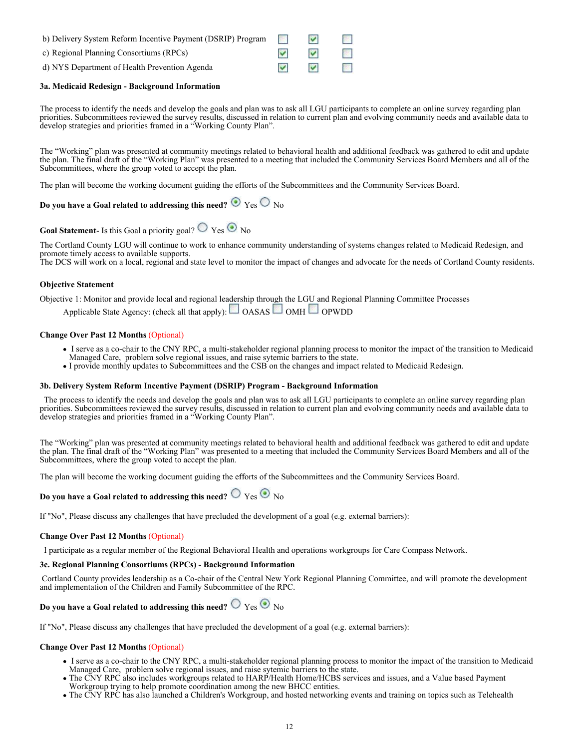| b) Delivery System Reform Incentive Payment (DSRIP) Program | <b>Contract</b> | M                    |                             |
|-------------------------------------------------------------|-----------------|----------------------|-----------------------------|
| c) Regional Planning Consortiums (RPCs)                     |                 | M                    | <b>Contract</b>             |
| d) NYS Department of Health Prevention Agenda               | M               | $\blacktriangledown$ | $\mathcal{O}(\mathbb{R}^d)$ |

#### **3a. Medicaid Redesign - Background Information**

The process to identify the needs and develop the goals and plan was to ask all LGU participants to complete an online survey regarding plan priorities. Subcommittees reviewed the survey results, discussed in relation to current plan and evolving community needs and available data to develop strategies and priorities framed in a "Working County Plan".

The "Working" plan was presented at community meetings related to behavioral health and additional feedback was gathered to edit and update the plan. The final draft of the "Working Plan" was presented to a meeting that included the Community Services Board Members and all of the Subcommittees, where the group voted to accept the plan.

The plan will become the working document guiding the efforts of the Subcommittees and the Community Services Board.

### **Do you have a Goal related to addressing this need?**  $\bullet$  Yes  $\circ$  No

**Goal Statement**- Is this Goal a priority goal?  $\bigcirc$  Yes  $\bigcirc$  No

The Cortland County LGU will continue to work to enhance community understanding of systems changes related to Medicaid Redesign, and promote timely access to available supports.

The DCS will work on a local, regional and state level to monitor the impact of changes and advocate for the needs of Cortland County residents.

#### **Objective Statement**

Objective 1: Monitor and provide local and regional leadership through the LGU and Regional Planning Committee Processes

Applicable State Agency: (check all that apply):  $\Box$  OASAS  $\Box$  OMH  $\Box$  OPWDD

#### **Change Over Past 12 Months** (Optional)

- I serve as a co-chair to the CNY RPC, a multi-stakeholder regional planning process to monitor the impact of the transition to Medicaid
- Managed Care, problem solve regional issues, and raise sytemic barriers to the state.
- I provide monthly updates to Subcommittees and the CSB on the changes and impact related to Medicaid Redesign.

#### **3b. Delivery System Reform Incentive Payment (DSRIP) Program - Background Information**

 The process to identify the needs and develop the goals and plan was to ask all LGU participants to complete an online survey regarding plan priorities. Subcommittees reviewed the survey results, discussed in relation to current plan and evolving community needs and available data to develop strategies and priorities framed in a "Working County Plan".

The "Working" plan was presented at community meetings related to behavioral health and additional feedback was gathered to edit and update the plan. The final draft of the "Working Plan" was presented to a meeting that included the Community Services Board Members and all of the Subcommittees, where the group voted to accept the plan.

The plan will become the working document guiding the efforts of the Subcommittees and the Community Services Board.

### **Do you have a Goal related to addressing this need?**  $\bigcirc$   $\bigcirc$   $\bigcirc$   $\bigcirc$   $\bigcirc$   $\bigcirc$

If "No", Please discuss any challenges that have precluded the development of a goal (e.g. external barriers):

#### **Change Over Past 12 Months** (Optional)

I participate as a regular member of the Regional Behavioral Health and operations workgroups for Care Compass Network.

#### **3c. Regional Planning Consortiums (RPCs) - Background Information**

 Cortland County provides leadership as a Co-chair of the Central New York Regional Planning Committee, and will promote the development and implementation of the Children and Family Subcommittee of the RPC.

### **Do you have a Goal related to addressing this need?**  $\bigcirc$   $\gamma$ es  $\bigcirc$   $\bigcirc$   $\gamma$

If "No", Please discuss any challenges that have precluded the development of a goal (e.g. external barriers):

#### **Change Over Past 12 Months** (Optional)

- I serve as a co-chair to the CNY RPC, a multi-stakeholder regional planning process to monitor the impact of the transition to Medicaid Managed Care, problem solve regional issues, and raise sytemic barriers to the state.
- The CNY RPC also includes workgroups related to HARP/Health Home/HCBS services and issues, and a Value based Payment Workgroup trying to help promote coordination among the new BHCC entities.
- The CNY RPC has also launched a Children's Workgroup, and hosted networking events and training on topics such as Telehealth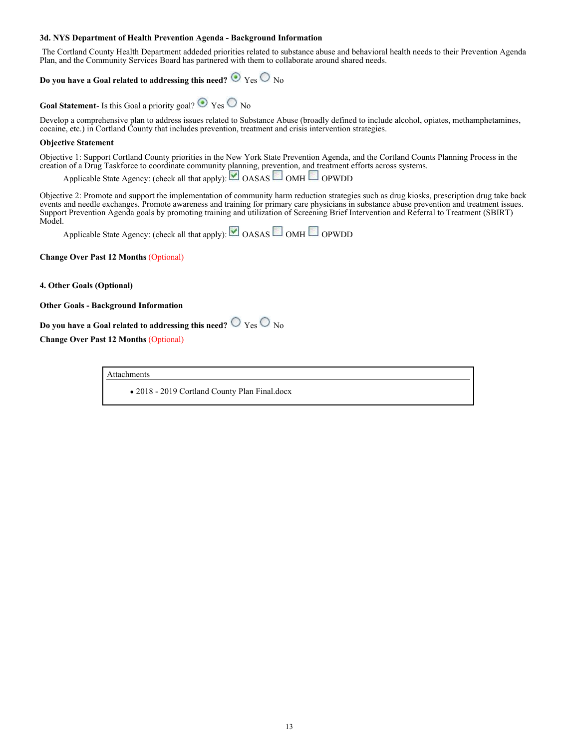#### **3d. NYS Department of Health Prevention Agenda - Background Information**

 The Cortland County Health Department addeded priorities related to substance abuse and behavioral health needs to their Prevention Agenda Plan, and the Community Services Board has partnered with them to collaborate around shared needs.

### **Do you have a Goal related to addressing this need?**  $\bullet$  Yes  $\circ$  No

**Goal Statement**- Is this Goal a priority goal?  $\odot$  Yes  $\odot$  No

Develop a comprehensive plan to address issues related to Substance Abuse (broadly defined to include alcohol, opiates, methamphetamines, cocaine, etc.) in Cortland County that includes prevention, treatment and crisis intervention strategies.

#### **Objective Statement**

Objective 1: Support Cortland County priorities in the New York State Prevention Agenda, and the Cortland Counts Planning Process in the creation of a Drug Taskforce to coordinate community planning, prevention, and treatment efforts across systems.

Applicable State Agency: (check all that apply):  $\Box$  OASAS  $\Box$  OMH  $\Box$  OPWDD

Objective 2: Promote and support the implementation of community harm reduction strategies such as drug kiosks, prescription drug take back events and needle exchanges. Promote awareness and training for primary care physicians in substance abuse prevention and treatment issues. Support Prevention Agenda goals by promoting training and utilization of Screening Brief Intervention and Referral to Treatment (SBIRT) Model.

Applicable State Agency: (check all that apply):  $\Box$  OASAS  $\Box$  OMH  $\Box$  OPWDD

**Change Over Past 12 Months** (Optional)

**4. Other Goals (Optional)**

#### **Other Goals - Background Information**

**Do you have a Goal related to addressing this need?**  $\bigcirc$   $\gamma$ es  $\bigcirc$   $\gamma$ o

**Change Over Past 12 Months** (Optional)

Attachments

2018 - 2019 Cortland County Plan Final.docx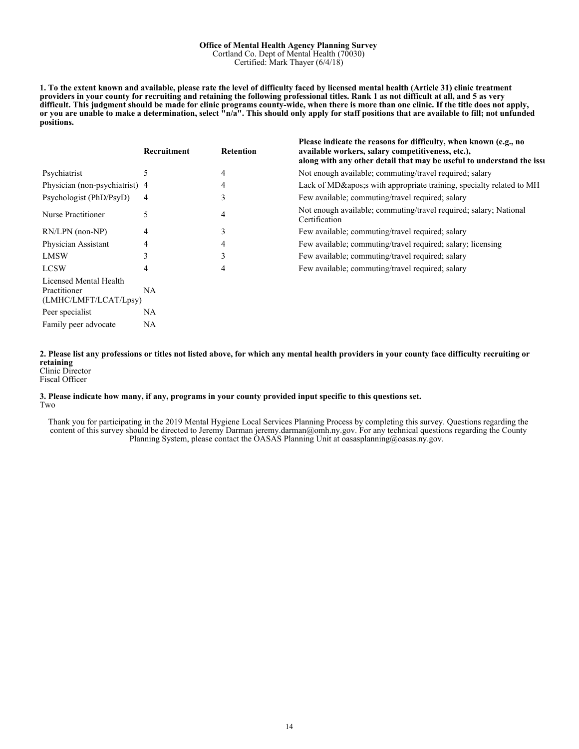#### **Office of Mental Health Agency Planning Survey** Cortland Co. Dept of Mental Health (70030) Certified: Mark Thayer (6/4/18)

**1. To the extent known and available, please rate the level of difficulty faced by licensed mental health (Article 31) clinic treatment providers in your county for recruiting and retaining the following professional titles. Rank 1 as not difficult at all, and 5 as very difficult. This judgment should be made for clinic programs county-wide, when there is more than one clinic. If the title does not apply, or you are unable to make a determination, select "n/a". This should only apply for staff positions that are available to fill; not unfunded positions.**

|                                                                 | Recruitment   | <b>Retention</b> | Please indicate the reasons for difficulty, when known (e.g., no<br>available workers, salary competitiveness, etc.),<br>along with any other detail that may be useful to understand the issu |
|-----------------------------------------------------------------|---------------|------------------|------------------------------------------------------------------------------------------------------------------------------------------------------------------------------------------------|
| Psychiatrist                                                    | $\mathcal{L}$ | 4                | Not enough available; commuting/travel required; salary                                                                                                                                        |
| Physician (non-psychiatrist) 4                                  |               | 4                | Lack of MD's with appropriate training, specialty related to MH                                                                                                                                |
| Psychologist (PhD/PsyD)                                         | 4             | 3                | Few available; commuting/travel required; salary                                                                                                                                               |
| Nurse Practitioner                                              | 5             | 4                | Not enough available; commuting/travel required; salary; National<br>Certification                                                                                                             |
| RN/LPN (non-NP)                                                 | 4             | 3                | Few available; commuting/travel required; salary                                                                                                                                               |
| Physician Assistant                                             | 4             | 4                | Few available; commuting/travel required; salary; licensing                                                                                                                                    |
| <b>LMSW</b>                                                     |               | 3                | Few available; commuting/travel required; salary                                                                                                                                               |
| <b>LCSW</b>                                                     | 4             | 4                | Few available; commuting/travel required; salary                                                                                                                                               |
| Licensed Mental Health<br>Practitioner<br>(LMHC/LMFT/LCAT/Lpsy) | NA.           |                  |                                                                                                                                                                                                |
| Peer specialist                                                 | NA.           |                  |                                                                                                                                                                                                |
| Family peer advocate                                            | NA            |                  |                                                                                                                                                                                                |

**2. Please list any professions or titles not listed above, for which any mental health providers in your county face difficulty recruiting or retaining** Clinic Director

Fiscal Officer

#### **3. Please indicate how many, if any, programs in your county provided input specific to this questions set.** Two

Thank you for participating in the 2019 Mental Hygiene Local Services Planning Process by completing this survey. Questions regarding the content of this survey should be directed to Jeremy Darman jeremy.darman@omh.ny.gov. For any technical questions regarding the County Planning System, please contact the OASAS Planning Unit at oasasplanning@oasas.ny.gov.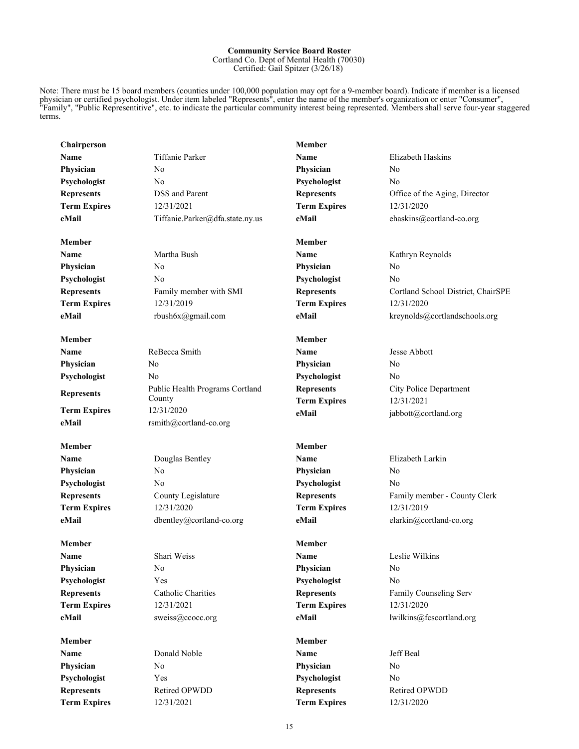#### **Community Service Board Roster** Cortland Co. Dept of Mental Health (70030) Certified: Gail Spitzer (3/26/18)

Note: There must be 15 board members (counties under 100,000 population may opt for a 9-member board). Indicate if member is a licensed physician or certified psychologist. Under item labeled "Represents", enter the name of the member's organization or enter "Consumer", "Family", "Public Representitive", etc. to indicate the particular community interest being represented. Members shall serve four-year staggered terms.

| Chairperson         |                                 | <b>Member</b>       |                                    |
|---------------------|---------------------------------|---------------------|------------------------------------|
| Name                | <b>Tiffanie Parker</b>          | <b>Name</b>         | Elizabeth Haskins                  |
| Physician           | No                              | Physician           | N <sub>0</sub>                     |
| Psychologist        | No                              | Psychologist        | No                                 |
| <b>Represents</b>   | DSS and Parent                  | <b>Represents</b>   | Office of the Aging, Director      |
| <b>Term Expires</b> | 12/31/2021                      | <b>Term Expires</b> | 12/31/2020                         |
| eMail               | Tiffanie.Parker@dfa.state.ny.us | eMail               | ehaskins@cortland-co.org           |
| <b>Member</b>       |                                 | <b>Member</b>       |                                    |
| Name                | Martha Bush                     | Name                | Kathryn Reynolds                   |
| Physician           | No                              | Physician           | N <sub>0</sub>                     |
| Psychologist        | No                              | Psychologist        | No                                 |
| <b>Represents</b>   | Family member with SMI          | <b>Represents</b>   | Cortland School District, ChairSPE |
| <b>Term Expires</b> | 12/31/2019                      | <b>Term Expires</b> | 12/31/2020                         |
| eMail               | rbush6x@gmail.com               | eMail               | kreynolds@cortlandschools.org      |
| Member              |                                 | Member              |                                    |
| Name                | ReBecca Smith                   | <b>Name</b>         | Jesse Abbott                       |
| Physician           | No                              | Physician           | No                                 |
| Psychologist        | No                              | Psychologist        | No                                 |
| <b>Represents</b>   | Public Health Programs Cortland | <b>Represents</b>   | City Police Department             |
|                     | County                          | <b>Term Expires</b> | 12/31/2021                         |
| <b>Term Expires</b> | 12/31/2020                      | eMail               | jabbott@cortland.org               |
| eMail               | rsmith@cortland-co.org          |                     |                                    |
| <b>Member</b>       |                                 | <b>Member</b>       |                                    |
| Name                | Douglas Bentley                 | Name                | Elizabeth Larkin                   |
| Physician           | N <sub>0</sub>                  | Physician           | No                                 |
| Psychologist        | No                              | Psychologist        | No                                 |
| <b>Represents</b>   | County Legislature              | <b>Represents</b>   | Family member - County Clerk       |
| <b>Term Expires</b> | 12/31/2020                      | <b>Term Expires</b> | 12/31/2019                         |
| eMail               | dbentley@cortland-co.org        | eMail               | elarkin@cortland-co.org            |
| Member              |                                 | <b>Member</b>       |                                    |
| Name                | Shari Weiss                     | Name                | Leslie Wilkins                     |
| Physician           | $\rm No$                        | Physician           | No                                 |
| Psychologist        | Yes                             | Psychologist        | No                                 |
| <b>Represents</b>   | Catholic Charities              | <b>Represents</b>   | Family Counseling Serv             |
| <b>Term Expires</b> | 12/31/2021                      | <b>Term Expires</b> | 12/31/2020                         |
| eMail               | sweiss@ccocc.org                | eMail               | lwilkins@fcscortland.org           |
| Member              |                                 | <b>Member</b>       |                                    |
| Name                | Donald Noble                    | Name                | Jeff Beal                          |
| Physician           | N <sub>0</sub>                  | Physician           | N <sub>0</sub>                     |
| Psychologist        | Yes                             | Psychologist        | N <sub>0</sub>                     |
| <b>Represents</b>   | Retired OPWDD                   | <b>Represents</b>   | Retired OPWDD                      |
| <b>Term Expires</b> | 12/31/2021                      | <b>Term Expires</b> | 12/31/2020                         |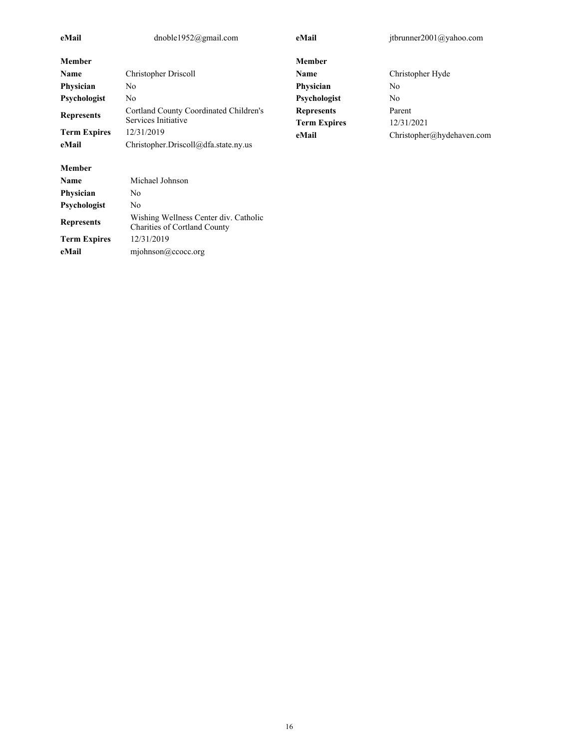| eMail               | dnoble1952@gmail.com                                                         | eMail               | jtbrunner2001@yahoo.com   |
|---------------------|------------------------------------------------------------------------------|---------------------|---------------------------|
| <b>Member</b>       |                                                                              | <b>Member</b>       |                           |
| Name                | Christopher Driscoll                                                         | Name                | Christopher Hyde          |
| Physician           | N <sub>0</sub>                                                               | Physician           | N <sub>0</sub>            |
| Psychologist        | No                                                                           | Psychologist        | No.                       |
|                     | Cortland County Coordinated Children's                                       | <b>Represents</b>   | Parent                    |
| <b>Represents</b>   | Services Initiative                                                          | <b>Term Expires</b> | 12/31/2021                |
| <b>Term Expires</b> | 12/31/2019                                                                   | eMail               | Christopher@hvdehaven.com |
| eMail               | Christopher.Driscoll@dfa.state.ny.us                                         |                     |                           |
| <b>Member</b>       |                                                                              |                     |                           |
| Name                | Michael Johnson                                                              |                     |                           |
| Physician           | No                                                                           |                     |                           |
| Psychologist        | No                                                                           |                     |                           |
| <b>Represents</b>   | Wishing Wellness Center div. Catholic<br><b>Charities of Cortland County</b> |                     |                           |

**Term Expires** 12/31/2019

**eMail** mjohnson@ccocc.org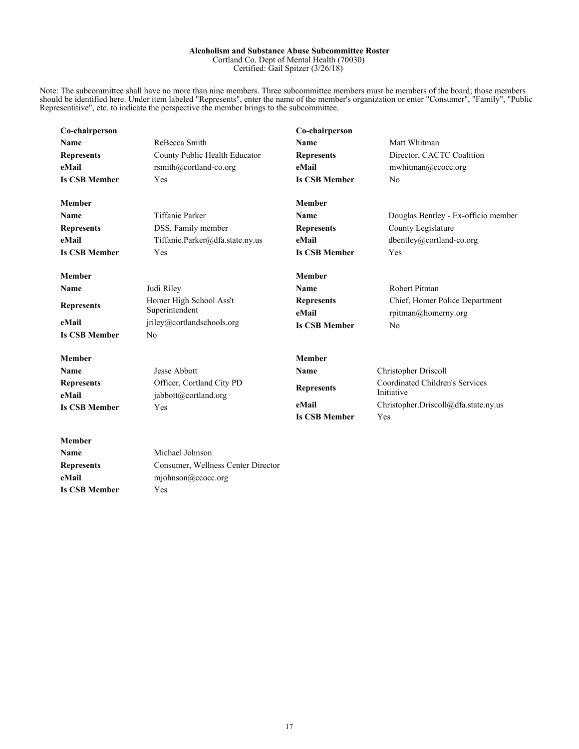#### **Alcoholism and Substance Abuse Subcommittee Roster** Cortland Co. Dept of Mental Health (70030) Certified: Gail Spitzer (3/26/18)

Note: The subcommittee shall have no more than nine members. Three subcommittee members must be members of the board; those members should be identified here. Under item labeled "Represents", enter the name of the member's organization or enter "Consumer", "Family", "Public Representitive", etc. to indicate the perspective the member brings to the subcommittee.

| Co-chairperson             |                                                   | Co-chairperson             |                                                       |
|----------------------------|---------------------------------------------------|----------------------------|-------------------------------------------------------|
| Name                       | ReBecca Smith                                     | <b>Name</b>                | Matt Whitman                                          |
| <b>Represents</b>          | County Public Health Educator                     | <b>Represents</b>          | Director, CACTC Coalition                             |
| eMail                      | rsmith@cortland-co.org                            | eMail                      | mwhitman@ccocc.org                                    |
| <b>Is CSB Member</b>       | <b>Yes</b>                                        | <b>Is CSB Member</b>       | N <sub>0</sub>                                        |
| <b>Member</b>              |                                                   | <b>Member</b>              |                                                       |
| <b>Name</b>                | <b>Tiffanie Parker</b>                            | <b>Name</b>                | Douglas Bentley - Ex-officio member                   |
| <b>Represents</b>          | DSS, Family member                                | <b>Represents</b>          | County Legislature                                    |
| eMail                      | Tiffanie.Parker@dfa.state.ny.us                   | eMail                      | dbentley@cortland-co.org                              |
| <b>Is CSB Member</b>       | Yes                                               | <b>Is CSB Member</b>       | Yes                                                   |
| <b>Member</b>              |                                                   | <b>Member</b>              |                                                       |
| Name                       | Judi Riley                                        | <b>Name</b>                | Robert Pitman                                         |
| <b>Represents</b>          | Homer High School Ass't<br>Superintendent         | <b>Represents</b><br>eMail | Chief, Homer Police Department<br>rpitman@homerny.org |
| eMail                      | jriley@cortlandschools.org                        | <b>Is CSB Member</b>       | N <sub>0</sub>                                        |
| <b>Is CSB Member</b>       | N <sub>0</sub>                                    |                            |                                                       |
| <b>Member</b>              |                                                   | <b>Member</b>              |                                                       |
| Name                       | Jesse Abbott                                      | Name                       | Christopher Driscoll                                  |
| <b>Represents</b><br>eMail | Officer, Cortland City PD<br>jabbott@cortland.org | <b>Represents</b>          | Coordinated Children's Services<br>Initiative         |
| <b>Is CSB Member</b>       | Yes                                               | eMail                      | Christopher.Driscoll@dfa.state.ny.us                  |
|                            |                                                   | <b>Is CSB Member</b>       | Yes                                                   |
| <b>Member</b>              |                                                   |                            |                                                       |
| Name                       | Michael Johnson                                   |                            |                                                       |
| <b>Represents</b>          | Consumer, Wellness Center Director                |                            |                                                       |
| eMail                      | miohnson@ccocc.org                                |                            |                                                       |

**Is CSB Member** Yes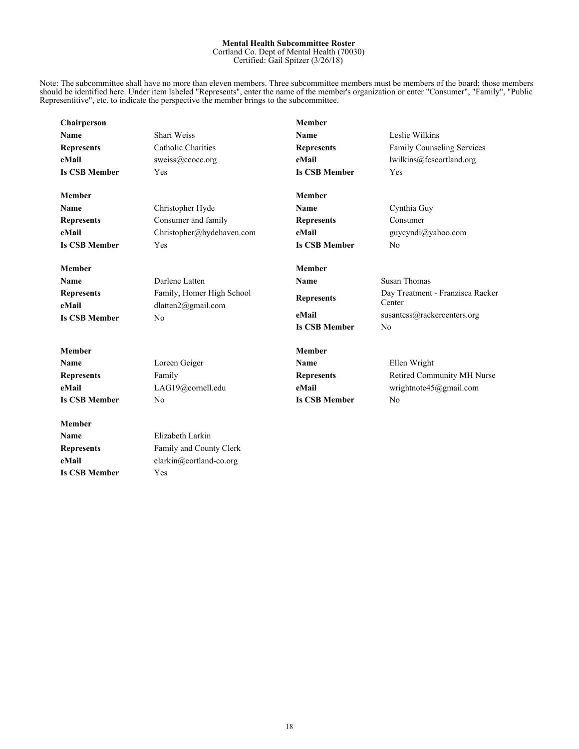#### **Mental Health Subcommittee Roster** Cortland Co. Dept of Mental Health (70030)

Certified: Gail Spitzer (3/26/18)

Note: The subcommittee shall have no more than eleven members. Three subcommittee members must be members of the board; those members should be identified here. Under item labeled "Represents", enter the name of the member's organization or enter "Consumer", "Family", "Public Representitive", etc. to indicate the perspective the member brings to the subcommittee.

| Chairperson                |                                                 | <b>Member</b>        |                                            |
|----------------------------|-------------------------------------------------|----------------------|--------------------------------------------|
| Name                       | Shari Weiss                                     | Name                 | Leslie Wilkins                             |
| <b>Represents</b>          | <b>Catholic Charities</b>                       | <b>Represents</b>    | Family Counseling Services                 |
| eMail                      | sweiss@ccocc.org                                | eMail                | lwilkins@fcscortland.org                   |
| <b>Is CSB Member</b>       | Yes                                             | <b>Is CSB Member</b> | Yes                                        |
| <b>Member</b>              |                                                 | <b>Member</b>        |                                            |
| Name                       | Christopher Hyde                                | Name                 | Cynthia Guy                                |
| <b>Represents</b>          | Consumer and family                             | <b>Represents</b>    | Consumer                                   |
| eMail                      | Christopher@hydehaven.com                       | eMail                | guycyndi@yahoo.com                         |
| <b>Is CSB Member</b>       | Yes                                             | <b>Is CSB Member</b> | No                                         |
| <b>Member</b>              |                                                 | <b>Member</b>        |                                            |
| Name                       | Darlene Latten                                  | <b>Name</b>          | <b>Susan Thomas</b>                        |
| <b>Represents</b><br>eMail | Family, Homer High School<br>dlatten2@gmail.com | <b>Represents</b>    | Day Treatment - Franzisca Racker<br>Center |
| <b>Is CSB Member</b>       | No                                              | eMail                | susantcss@rackercenters.org                |
|                            |                                                 | <b>Is CSB Member</b> | No                                         |
| <b>Member</b>              |                                                 | <b>Member</b>        |                                            |
| Name                       | Loreen Geiger                                   | <b>Name</b>          | Ellen Wright                               |
| <b>Represents</b>          | Family                                          | <b>Represents</b>    | Retired Community MH Nurse                 |
| eMail                      | LAG19@cornell.edu                               | eMail                | wrightnote45@gmail.com                     |
| <b>Is CSB Member</b>       | No                                              | <b>Is CSB Member</b> | N <sub>0</sub>                             |
| <b>Member</b>              |                                                 |                      |                                            |
| <b>Name</b>                | Elizabeth Larkin                                |                      |                                            |
| <b>Represents</b>          | Family and County Clerk                         |                      |                                            |
| eMail                      | elarkin@cortland-co.org                         |                      |                                            |
| <b>Is CSB Member</b>       | Yes                                             |                      |                                            |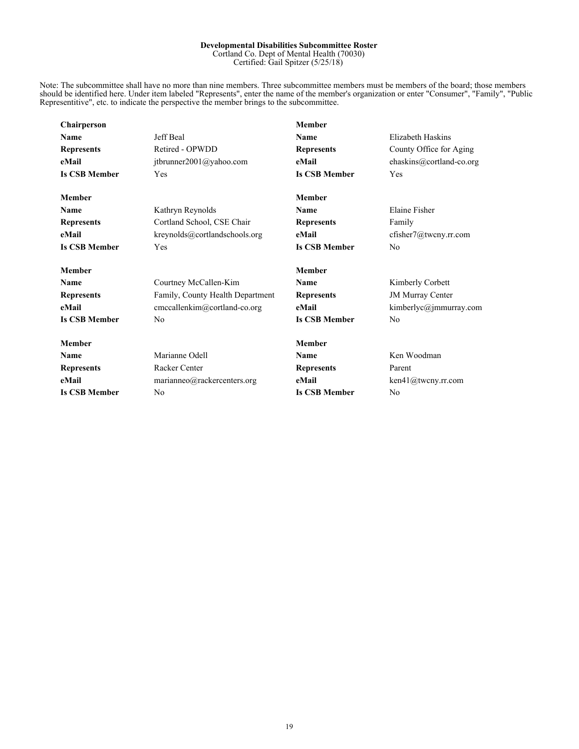#### **Developmental Disabilities Subcommittee Roster** Cortland Co. Dept of Mental Health (70030)

Certified: Gail Spitzer (5/25/18)

Note: The subcommittee shall have no more than nine members. Three subcommittee members must be members of the board; those members should be identified here. Under item labeled "Represents", enter the name of the member's organization or enter "Consumer", "Family", "Public Representitive", etc. to indicate the perspective the member brings to the subcommittee.

| <b>Chairperson</b>   |                                  | <b>Member</b>        |                          |
|----------------------|----------------------------------|----------------------|--------------------------|
| Name                 | Jeff Beal                        | Name                 | Elizabeth Haskins        |
| <b>Represents</b>    | Retired - OPWDD                  | <b>Represents</b>    | County Office for Aging  |
| eMail                | jtbrunner2001@yahoo.com          | eMail                | ehaskins@cortland-co.org |
| <b>Is CSB Member</b> | Yes                              | <b>Is CSB Member</b> | <b>Yes</b>               |
| <b>Member</b>        |                                  | Member               |                          |
| Name                 | Kathryn Reynolds                 | Name                 | Elaine Fisher            |
| <b>Represents</b>    | Cortland School, CSE Chair       | <b>Represents</b>    | Family                   |
| eMail                | kreynolds@cortlandschools.org    | eMail                | cfisher7@tweny.rr.com    |
| <b>Is CSB Member</b> | <b>Yes</b>                       | <b>Is CSB Member</b> | N <sub>0</sub>           |
| <b>Member</b>        |                                  | <b>Member</b>        |                          |
| Name                 | Courtney McCallen-Kim            | Name                 | Kimberly Corbett         |
| <b>Represents</b>    | Family, County Health Department | <b>Represents</b>    | <b>JM Murray Center</b>  |
| eMail                | cmccallenkim@cortland-co.org     | eMail                | kimberlyc@jmmurray.com   |
| <b>Is CSB Member</b> | No                               | <b>Is CSB Member</b> | N <sub>0</sub>           |
| <b>Member</b>        |                                  | <b>Member</b>        |                          |
| Name                 | Marianne Odell                   | Name                 | Ken Woodman              |
| <b>Represents</b>    | <b>Racker Center</b>             | <b>Represents</b>    | Parent                   |
| eMail                | marianneo@rackercenters.org      | eMail                | ken41@tweny.rr.com       |
| <b>Is CSB Member</b> | No                               | <b>Is CSB Member</b> | N <sub>0</sub>           |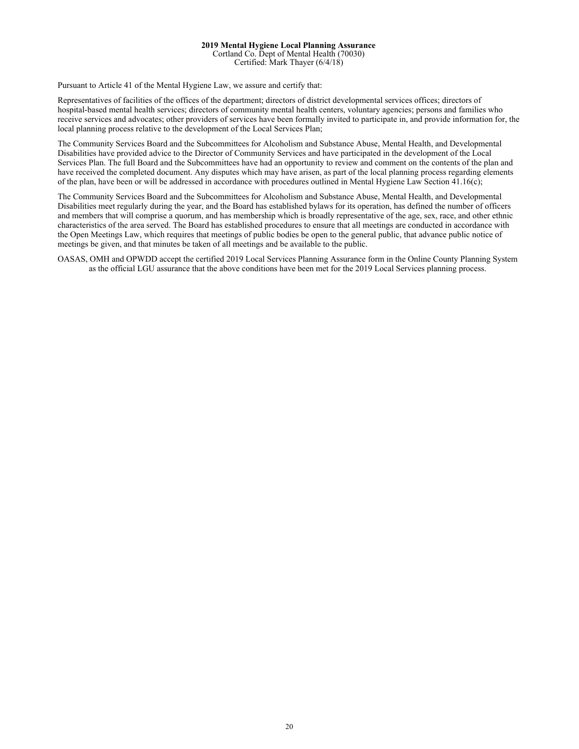#### **2019 Mental Hygiene Local Planning Assurance** Cortland Co. Dept of Mental Health (70030) Certified: Mark Thayer (6/4/18)

Pursuant to Article 41 of the Mental Hygiene Law, we assure and certify that:

Representatives of facilities of the offices of the department; directors of district developmental services offices; directors of hospital-based mental health services; directors of community mental health centers, voluntary agencies; persons and families who receive services and advocates; other providers of services have been formally invited to participate in, and provide information for, the local planning process relative to the development of the Local Services Plan;

The Community Services Board and the Subcommittees for Alcoholism and Substance Abuse, Mental Health, and Developmental Disabilities have provided advice to the Director of Community Services and have participated in the development of the Local Services Plan. The full Board and the Subcommittees have had an opportunity to review and comment on the contents of the plan and have received the completed document. Any disputes which may have arisen, as part of the local planning process regarding elements of the plan, have been or will be addressed in accordance with procedures outlined in Mental Hygiene Law Section 41.16(c);

The Community Services Board and the Subcommittees for Alcoholism and Substance Abuse, Mental Health, and Developmental Disabilities meet regularly during the year, and the Board has established bylaws for its operation, has defined the number of officers and members that will comprise a quorum, and has membership which is broadly representative of the age, sex, race, and other ethnic characteristics of the area served. The Board has established procedures to ensure that all meetings are conducted in accordance with the Open Meetings Law, which requires that meetings of public bodies be open to the general public, that advance public notice of meetings be given, and that minutes be taken of all meetings and be available to the public.

OASAS, OMH and OPWDD accept the certified 2019 Local Services Planning Assurance form in the Online County Planning System as the official LGU assurance that the above conditions have been met for the 2019 Local Services planning process.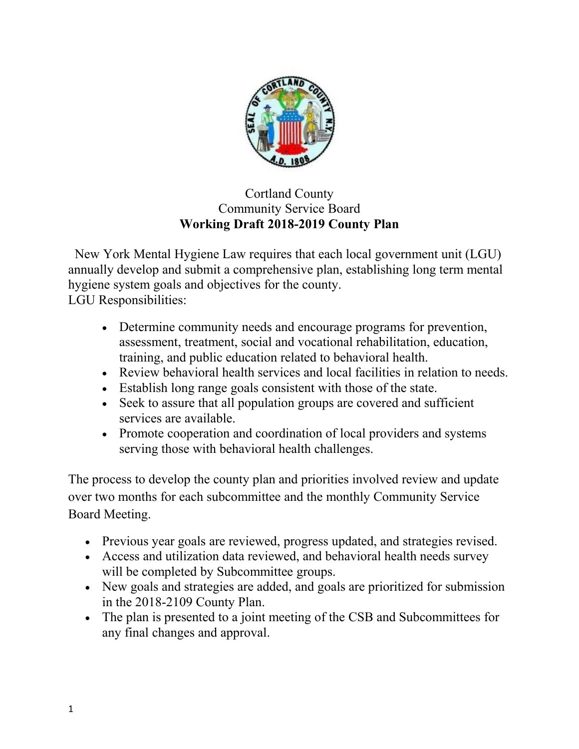

## Cortland County Community Service Board **Working Draft 2018-2019 County Plan**

 New York Mental Hygiene Law requires that each local government unit (LGU) annually develop and submit a comprehensive plan, establishing long term mental hygiene system goals and objectives for the county. LGU Responsibilities:

- Determine community needs and encourage programs for prevention, assessment, treatment, social and vocational rehabilitation, education, training, and public education related to behavioral health.
- Review behavioral health services and local facilities in relation to needs.
- Establish long range goals consistent with those of the state.
- Seek to assure that all population groups are covered and sufficient services are available.
- Promote cooperation and coordination of local providers and systems serving those with behavioral health challenges.

The process to develop the county plan and priorities involved review and update over two months for each subcommittee and the monthly Community Service Board Meeting.

- Previous year goals are reviewed, progress updated, and strategies revised.
- Access and utilization data reviewed, and behavioral health needs survey will be completed by Subcommittee groups.
- New goals and strategies are added, and goals are prioritized for submission in the 2018-2109 County Plan.
- The plan is presented to a joint meeting of the CSB and Subcommittees for any final changes and approval.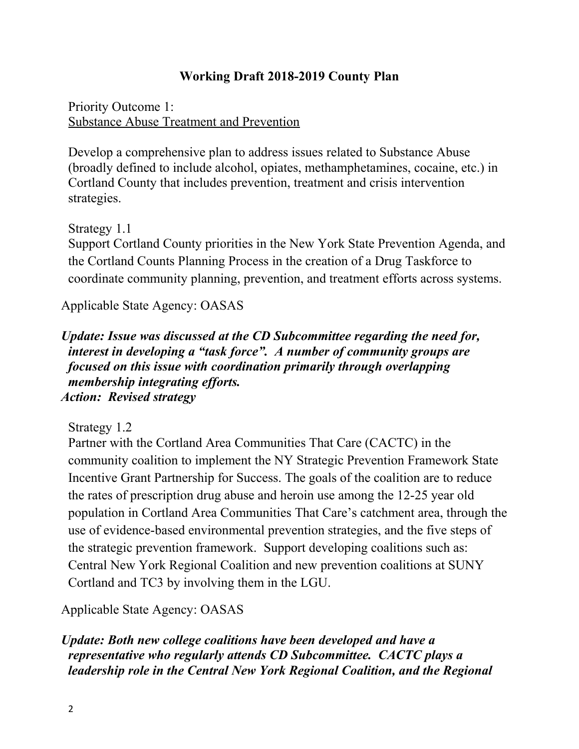## **Working Draft 2018-2019 County Plan**

Priority Outcome 1: Substance Abuse Treatment and Prevention

Develop a comprehensive plan to address issues related to Substance Abuse (broadly defined to include alcohol, opiates, methamphetamines, cocaine, etc.) in Cortland County that includes prevention, treatment and crisis intervention strategies.

Strategy 1.1

Support Cortland County priorities in the New York State Prevention Agenda, and the Cortland Counts Planning Process in the creation of a Drug Taskforce to coordinate community planning, prevention, and treatment efforts across systems.

Applicable State Agency: OASAS

*Update: Issue was discussed at the CD Subcommittee regarding the need for, interest in developing a "task force". A number of community groups are focused on this issue with coordination primarily through overlapping membership integrating efforts. Action: Revised strategy* 

Strategy 1.2

Partner with the Cortland Area Communities That Care (CACTC) in the community coalition to implement the NY Strategic Prevention Framework State Incentive Grant Partnership for Success. The goals of the coalition are to reduce the rates of prescription drug abuse and heroin use among the 12-25 year old population in Cortland Area Communities That Care's catchment area, through the use of evidence-based environmental prevention strategies, and the five steps of the strategic prevention framework. Support developing coalitions such as: Central New York Regional Coalition and new prevention coalitions at SUNY Cortland and TC3 by involving them in the LGU.

Applicable State Agency: OASAS

*Update: Both new college coalitions have been developed and have a representative who regularly attends CD Subcommittee. CACTC plays a leadership role in the Central New York Regional Coalition, and the Regional*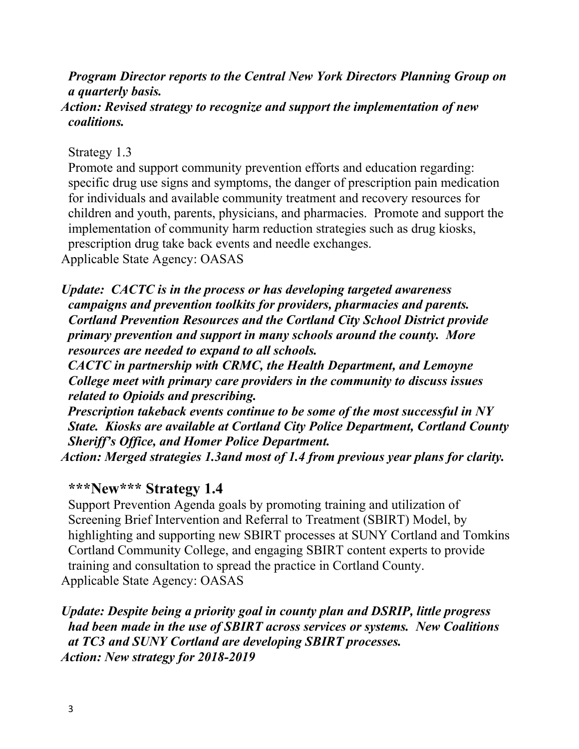*Program Director reports to the Central New York Directors Planning Group on a quarterly basis. Action: Revised strategy to recognize and support the implementation of new coalitions.*

Strategy 1.3

Promote and support community prevention efforts and education regarding: specific drug use signs and symptoms, the danger of prescription pain medication for individuals and available community treatment and recovery resources for children and youth, parents, physicians, and pharmacies. Promote and support the implementation of community harm reduction strategies such as drug kiosks, prescription drug take back events and needle exchanges. Applicable State Agency: OASAS

*Update: CACTC is in the process or has developing targeted awareness campaigns and prevention toolkits for providers, pharmacies and parents. Cortland Prevention Resources and the Cortland City School District provide primary prevention and support in many schools around the county. More resources are needed to expand to all schools.* 

 *CACTC in partnership with CRMC, the Health Department, and Lemoyne College meet with primary care providers in the community to discuss issues related to Opioids and prescribing.*

 *Prescription takeback events continue to be some of the most successful in NY State. Kiosks are available at Cortland City Police Department, Cortland County Sheriff's Office, and Homer Police Department.* 

*Action: Merged strategies 1.3and most of 1.4 from previous year plans for clarity.*

## **\*\*\*New\*\*\* Strategy 1.4**

Support Prevention Agenda goals by promoting training and utilization of Screening Brief Intervention and Referral to Treatment (SBIRT) Model, by highlighting and supporting new SBIRT processes at SUNY Cortland and Tomkins Cortland Community College, and engaging SBIRT content experts to provide training and consultation to spread the practice in Cortland County. Applicable State Agency: OASAS

*Update: Despite being a priority goal in county plan and DSRIP, little progress had been made in the use of SBIRT across services or systems. New Coalitions at TC3 and SUNY Cortland are developing SBIRT processes. Action: New strategy for 2018-2019*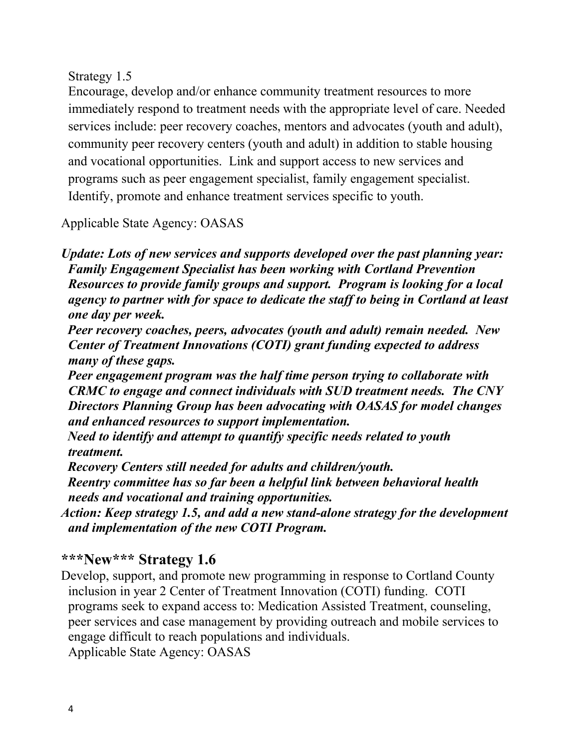Strategy 1.5

Encourage, develop and/or enhance community treatment resources to more immediately respond to treatment needs with the appropriate level of care. Needed services include: peer recovery coaches, mentors and advocates (youth and adult), community peer recovery centers (youth and adult) in addition to stable housing and vocational opportunities. Link and support access to new services and programs such as peer engagement specialist, family engagement specialist. Identify, promote and enhance treatment services specific to youth.

Applicable State Agency: OASAS

*Update: Lots of new services and supports developed over the past planning year: Family Engagement Specialist has been working with Cortland Prevention Resources to provide family groups and support. Program is looking for a local agency to partner with for space to dedicate the staff to being in Cortland at least one day per week.*

 *Peer recovery coaches, peers, advocates (youth and adult) remain needed. New Center of Treatment Innovations (COTI) grant funding expected to address many of these gaps.* 

 *Peer engagement program was the half time person trying to collaborate with CRMC to engage and connect individuals with SUD treatment needs. The CNY Directors Planning Group has been advocating with OASAS for model changes and enhanced resources to support implementation.*

 *Need to identify and attempt to quantify specific needs related to youth treatment.*

 *Recovery Centers still needed for adults and children/youth.*

 *Reentry committee has so far been a helpful link between behavioral health needs and vocational and training opportunities.*

*Action: Keep strategy 1.5, and add a new stand-alone strategy for the development and implementation of the new COTI Program.*

## **\*\*\*New\*\*\* Strategy 1.6**

Develop, support, and promote new programming in response to Cortland County inclusion in year 2 Center of Treatment Innovation (COTI) funding. COTI programs seek to expand access to: Medication Assisted Treatment, counseling, peer services and case management by providing outreach and mobile services to engage difficult to reach populations and individuals. Applicable State Agency: OASAS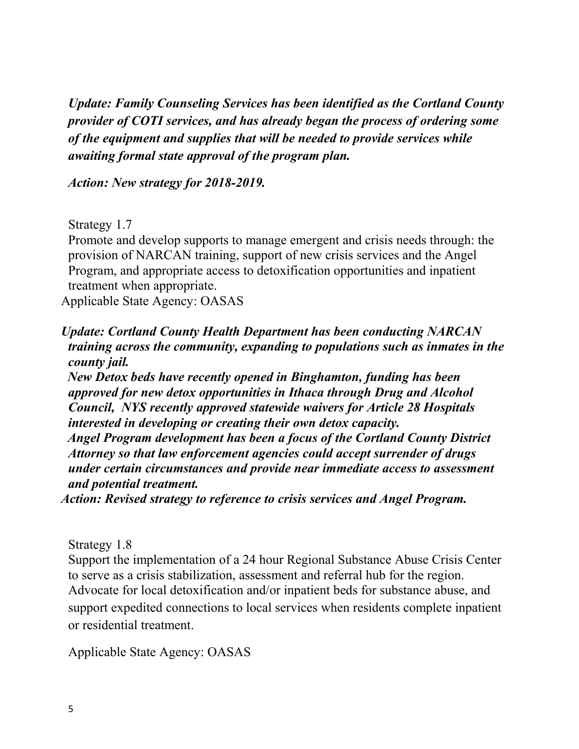*Update: Family Counseling Services has been identified as the Cortland County provider of COTI services, and has already began the process of ordering some of the equipment and supplies that will be needed to provide services while awaiting formal state approval of the program plan.*

*Action: New strategy for 2018-2019.*

Strategy 1.7

Promote and develop supports to manage emergent and crisis needs through: the provision of NARCAN training, support of new crisis services and the Angel Program, and appropriate access to detoxification opportunities and inpatient treatment when appropriate.

Applicable State Agency: OASAS

*Update: Cortland County Health Department has been conducting NARCAN training across the community, expanding to populations such as inmates in the county jail.*

 *New Detox beds have recently opened in Binghamton, funding has been approved for new detox opportunities in Ithaca through Drug and Alcohol Council, NYS recently approved statewide waivers for Article 28 Hospitals interested in developing or creating their own detox capacity.*

 *Angel Program development has been a focus of the Cortland County District Attorney so that law enforcement agencies could accept surrender of drugs under certain circumstances and provide near immediate access to assessment and potential treatment.* 

*Action: Revised strategy to reference to crisis services and Angel Program.*

Strategy 1.8

Support the implementation of a 24 hour Regional Substance Abuse Crisis Center to serve as a crisis stabilization, assessment and referral hub for the region. Advocate for local detoxification and/or inpatient beds for substance abuse, and support expedited connections to local services when residents complete inpatient or residential treatment.

Applicable State Agency: OASAS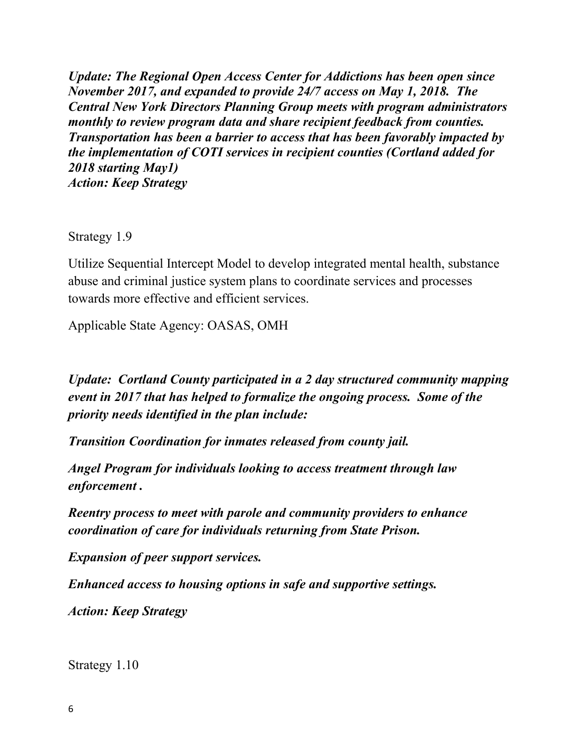*Update: The Regional Open Access Center for Addictions has been open since November 2017, and expanded to provide 24/7 access on May 1, 2018. The Central New York Directors Planning Group meets with program administrators monthly to review program data and share recipient feedback from counties. Transportation has been a barrier to access that has been favorably impacted by the implementation of COTI services in recipient counties (Cortland added for 2018 starting May1) Action: Keep Strategy*

Strategy 1.9

Utilize Sequential Intercept Model to develop integrated mental health, substance abuse and criminal justice system plans to coordinate services and processes towards more effective and efficient services.

Applicable State Agency: OASAS, OMH

*Update: Cortland County participated in a 2 day structured community mapping event in 2017 that has helped to formalize the ongoing process. Some of the priority needs identified in the plan include:*

*Transition Coordination for inmates released from county jail.*

*Angel Program for individuals looking to access treatment through law enforcement .*

*Reentry process to meet with parole and community providers to enhance coordination of care for individuals returning from State Prison.*

*Expansion of peer support services.*

*Enhanced access to housing options in safe and supportive settings.*

*Action: Keep Strategy*

Strategy 1.10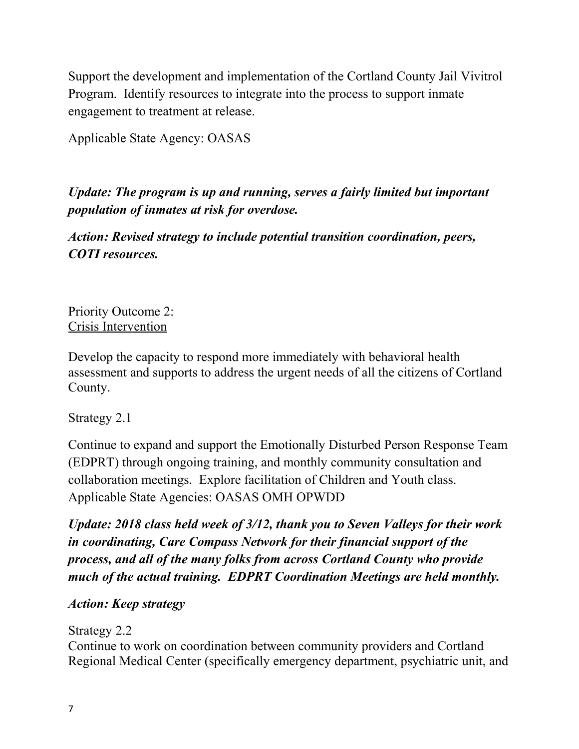Support the development and implementation of the Cortland County Jail Vivitrol Program. Identify resources to integrate into the process to support inmate engagement to treatment at release.

Applicable State Agency: OASAS

*Update: The program is up and running, serves a fairly limited but important population of inmates at risk for overdose.* 

*Action: Revised strategy to include potential transition coordination, peers, COTI resources.*

Priority Outcome 2: Crisis Intervention

Develop the capacity to respond more immediately with behavioral health assessment and supports to address the urgent needs of all the citizens of Cortland County.

Strategy 2.1

Continue to expand and support the Emotionally Disturbed Person Response Team (EDPRT) through ongoing training, and monthly community consultation and collaboration meetings. Explore facilitation of Children and Youth class. Applicable State Agencies: OASAS OMH OPWDD

*Update: 2018 class held week of 3/12, thank you to Seven Valleys for their work in coordinating, Care Compass Network for their financial support of the process, and all of the many folks from across Cortland County who provide much of the actual training. EDPRT Coordination Meetings are held monthly.*

## *Action: Keep strategy*

Strategy 2.2

Continue to work on coordination between community providers and Cortland Regional Medical Center (specifically emergency department, psychiatric unit, and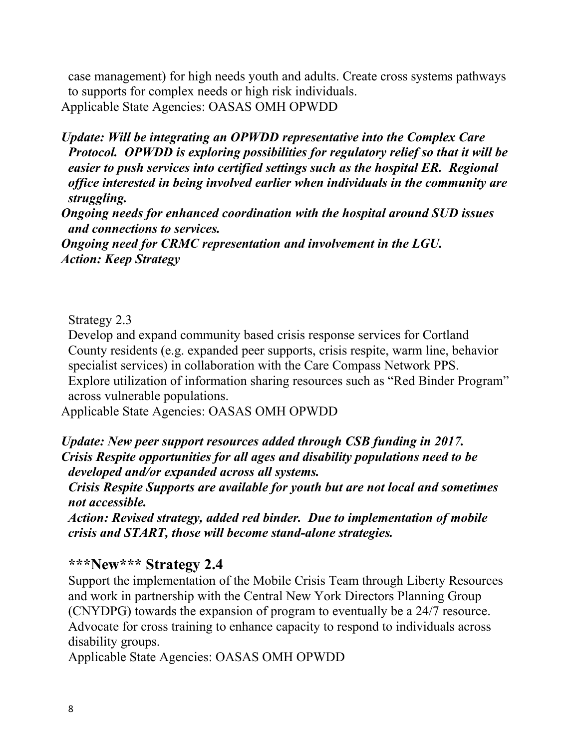case management) for high needs youth and adults. Create cross systems pathways to supports for complex needs or high risk individuals. Applicable State Agencies: OASAS OMH OPWDD

*Update: Will be integrating an OPWDD representative into the Complex Care Protocol. OPWDD is exploring possibilities for regulatory relief so that it will be easier to push services into certified settings such as the hospital ER. Regional office interested in being involved earlier when individuals in the community are struggling.*

*Ongoing needs for enhanced coordination with the hospital around SUD issues and connections to services.*

*Ongoing need for CRMC representation and involvement in the LGU. Action: Keep Strategy*

Strategy 2.3

Develop and expand community based crisis response services for Cortland County residents (e.g. expanded peer supports, crisis respite, warm line, behavior specialist services) in collaboration with the Care Compass Network PPS. Explore utilization of information sharing resources such as "Red Binder Program" across vulnerable populations.

Applicable State Agencies: OASAS OMH OPWDD

*Update: New peer support resources added through CSB funding in 2017. Crisis Respite opportunities for all ages and disability populations need to be developed and/or expanded across all systems.*

*Crisis Respite Supports are available for youth but are not local and sometimes not accessible.* 

*Action: Revised strategy, added red binder. Due to implementation of mobile crisis and START, those will become stand-alone strategies.*

## **\*\*\*New\*\*\* Strategy 2.4**

Support the implementation of the Mobile Crisis Team through Liberty Resources and work in partnership with the Central New York Directors Planning Group (CNYDPG) towards the expansion of program to eventually be a 24/7 resource. Advocate for cross training to enhance capacity to respond to individuals across disability groups.

Applicable State Agencies: OASAS OMH OPWDD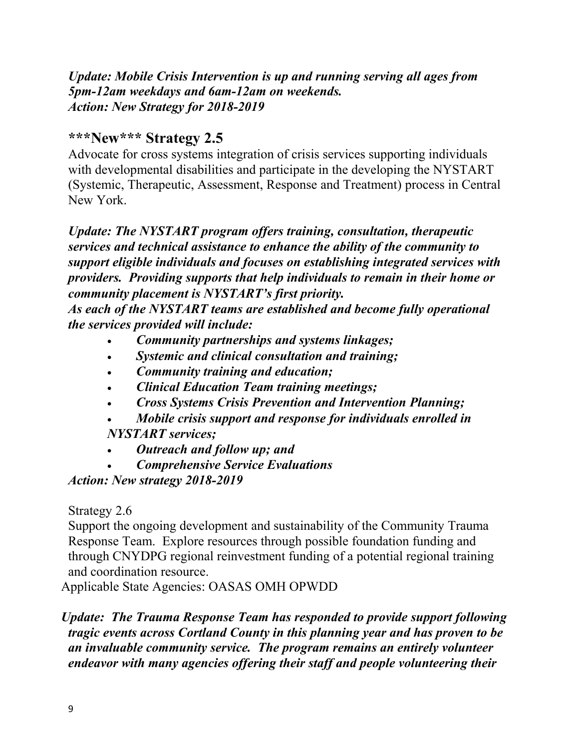*Update: Mobile Crisis Intervention is up and running serving all ages from 5pm-12am weekdays and 6am-12am on weekends. Action: New Strategy for 2018-2019*

## **\*\*\*New\*\*\* Strategy 2.5**

Advocate for cross systems integration of crisis services supporting individuals with developmental disabilities and participate in the developing the NYSTART (Systemic, Therapeutic, Assessment, Response and Treatment) process in Central New York.

## *Update: The NYSTART program offers training, consultation, therapeutic services and technical assistance to enhance the ability of the community to support eligible individuals and focuses on establishing integrated services with providers. Providing supports that help individuals to remain in their home or community placement is NYSTART's first priority.*

*As each of the NYSTART teams are established and become fully operational the services provided will include:*

- *Community partnerships and systems linkages;*
- *Systemic and clinical consultation and training;*
- *Community training and education;*
- *Clinical Education Team training meetings;*
- *Cross Systems Crisis Prevention and Intervention Planning;*
- *Mobile crisis support and response for individuals enrolled in*
- *NYSTART services;*
- *Outreach and follow up; and*
- *Comprehensive Service Evaluations*

*Action: New strategy 2018-2019*

Strategy 2.6

Support the ongoing development and sustainability of the Community Trauma Response Team. Explore resources through possible foundation funding and through CNYDPG regional reinvestment funding of a potential regional training and coordination resource.

Applicable State Agencies: OASAS OMH OPWDD

*Update: The Trauma Response Team has responded to provide support following tragic events across Cortland County in this planning year and has proven to be an invaluable community service. The program remains an entirely volunteer endeavor with many agencies offering their staff and people volunteering their*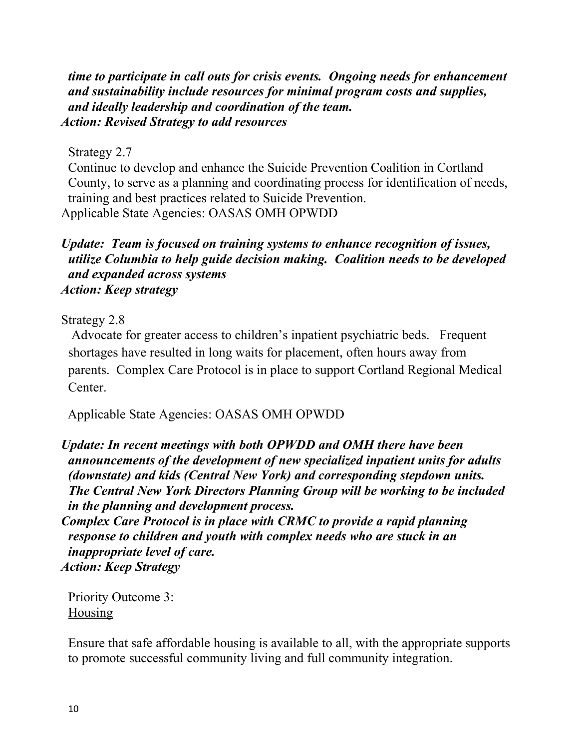*time to participate in call outs for crisis events. Ongoing needs for enhancement and sustainability include resources for minimal program costs and supplies, and ideally leadership and coordination of the team. Action: Revised Strategy to add resources* 

Strategy 2.7

Continue to develop and enhance the Suicide Prevention Coalition in Cortland County, to serve as a planning and coordinating process for identification of needs, training and best practices related to Suicide Prevention. Applicable State Agencies: OASAS OMH OPWDD

## *Update: Team is focused on training systems to enhance recognition of issues, utilize Columbia to help guide decision making. Coalition needs to be developed and expanded across systems Action: Keep strategy*

Strategy 2.8

Advocate for greater access to children's inpatient psychiatric beds. Frequent shortages have resulted in long waits for placement, often hours away from parents. Complex Care Protocol is in place to support Cortland Regional Medical **Center** 

Applicable State Agencies: OASAS OMH OPWDD

*Update: In recent meetings with both OPWDD and OMH there have been announcements of the development of new specialized inpatient units for adults (downstate) and kids (Central New York) and corresponding stepdown units. The Central New York Directors Planning Group will be working to be included in the planning and development process.* 

*Complex Care Protocol is in place with CRMC to provide a rapid planning response to children and youth with complex needs who are stuck in an inappropriate level of care. Action: Keep Strategy*

Priority Outcome 3: **Housing** 

Ensure that safe affordable housing is available to all, with the appropriate supports to promote successful community living and full community integration.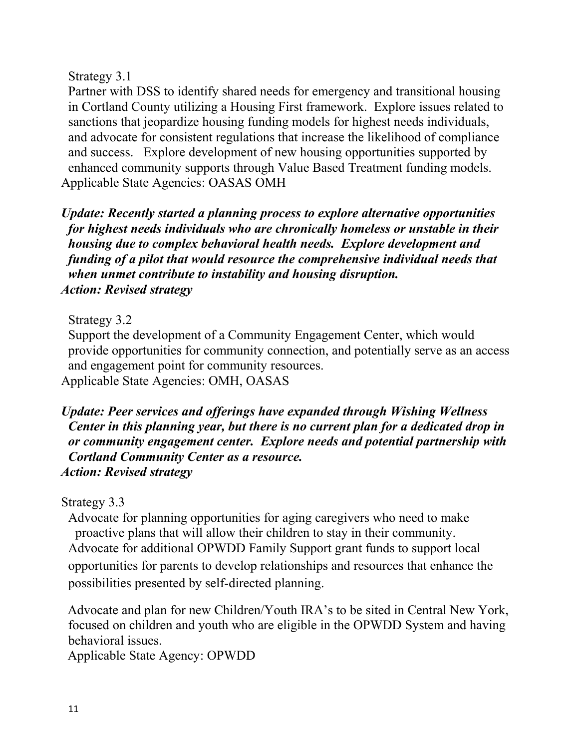## Strategy 3.1

Partner with DSS to identify shared needs for emergency and transitional housing in Cortland County utilizing a Housing First framework. Explore issues related to sanctions that jeopardize housing funding models for highest needs individuals, and advocate for consistent regulations that increase the likelihood of compliance and success. Explore development of new housing opportunities supported by enhanced community supports through Value Based Treatment funding models. Applicable State Agencies: OASAS OMH

*Update: Recently started a planning process to explore alternative opportunities for highest needs individuals who are chronically homeless or unstable in their housing due to complex behavioral health needs. Explore development and funding of a pilot that would resource the comprehensive individual needs that when unmet contribute to instability and housing disruption. Action: Revised strategy*

Strategy 3.2

Support the development of a Community Engagement Center, which would provide opportunities for community connection, and potentially serve as an access and engagement point for community resources. Applicable State Agencies: OMH, OASAS

*Update: Peer services and offerings have expanded through Wishing Wellness Center in this planning year, but there is no current plan for a dedicated drop in or community engagement center. Explore needs and potential partnership with Cortland Community Center as a resource. Action: Revised strategy*

Strategy 3.3

Advocate for planning opportunities for aging caregivers who need to make proactive plans that will allow their children to stay in their community. Advocate for additional OPWDD Family Support grant funds to support local opportunities for parents to develop relationships and resources that enhance the possibilities presented by self-directed planning.

 Advocate and plan for new Children/Youth IRA's to be sited in Central New York, focused on children and youth who are eligible in the OPWDD System and having behavioral issues.

Applicable State Agency: OPWDD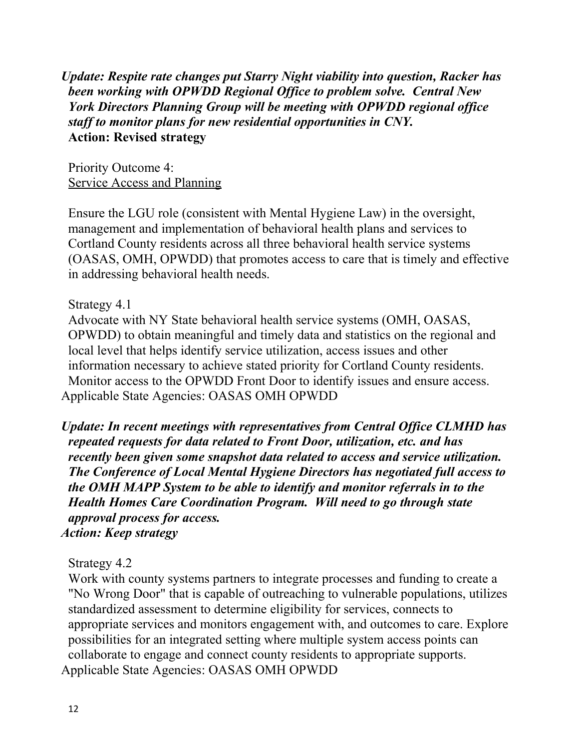*Update: Respite rate changes put Starry Night viability into question, Racker has been working with OPWDD Regional Office to problem solve. Central New York Directors Planning Group will be meeting with OPWDD regional office staff to monitor plans for new residential opportunities in CNY.*  **Action: Revised strategy**

Priority Outcome 4: Service Access and Planning

Ensure the LGU role (consistent with Mental Hygiene Law) in the oversight, management and implementation of behavioral health plans and services to Cortland County residents across all three behavioral health service systems (OASAS, OMH, OPWDD) that promotes access to care that is timely and effective in addressing behavioral health needs.

Strategy 4.1

Advocate with NY State behavioral health service systems (OMH, OASAS, OPWDD) to obtain meaningful and timely data and statistics on the regional and local level that helps identify service utilization, access issues and other information necessary to achieve stated priority for Cortland County residents. Monitor access to the OPWDD Front Door to identify issues and ensure access. Applicable State Agencies: OASAS OMH OPWDD

*Update: In recent meetings with representatives from Central Office CLMHD has repeated requests for data related to Front Door, utilization, etc. and has recently been given some snapshot data related to access and service utilization. The Conference of Local Mental Hygiene Directors has negotiated full access to the OMH MAPP System to be able to identify and monitor referrals in to the Health Homes Care Coordination Program. Will need to go through state approval process for access. Action: Keep strategy*

Strategy 4.2

Work with county systems partners to integrate processes and funding to create a "No Wrong Door" that is capable of outreaching to vulnerable populations, utilizes standardized assessment to determine eligibility for services, connects to appropriate services and monitors engagement with, and outcomes to care. Explore possibilities for an integrated setting where multiple system access points can collaborate to engage and connect county residents to appropriate supports. Applicable State Agencies: OASAS OMH OPWDD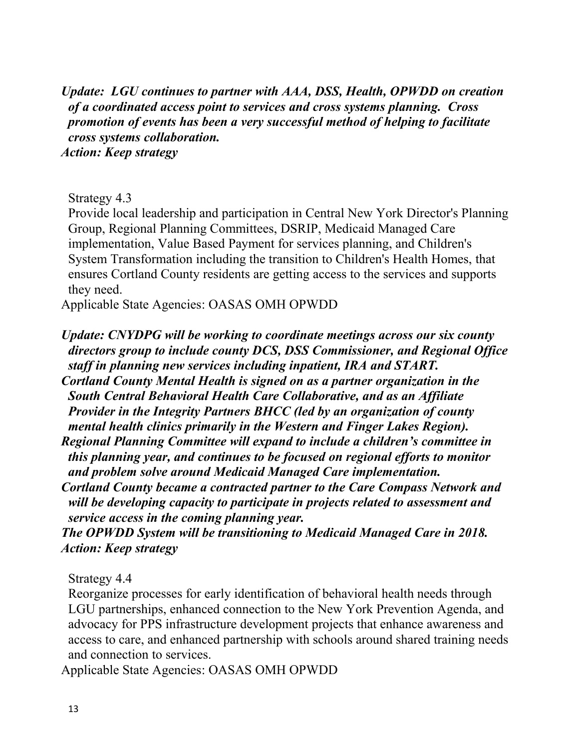*Update: LGU continues to partner with AAA, DSS, Health, OPWDD on creation of a coordinated access point to services and cross systems planning. Cross promotion of events has been a very successful method of helping to facilitate cross systems collaboration. Action: Keep strategy*

Strategy 4.3

Provide local leadership and participation in Central New York Director's Planning Group, Regional Planning Committees, DSRIP, Medicaid Managed Care implementation, Value Based Payment for services planning, and Children's System Transformation including the transition to Children's Health Homes, that ensures Cortland County residents are getting access to the services and supports they need.

Applicable State Agencies: OASAS OMH OPWDD

*Update: CNYDPG will be working to coordinate meetings across our six county directors group to include county DCS, DSS Commissioner, and Regional Office staff in planning new services including inpatient, IRA and START. Cortland County Mental Health is signed on as a partner organization in the South Central Behavioral Health Care Collaborative, and as an Affiliate Provider in the Integrity Partners BHCC (led by an organization of county mental health clinics primarily in the Western and Finger Lakes Region). Regional Planning Committee will expand to include a children's committee in this planning year, and continues to be focused on regional efforts to monitor and problem solve around Medicaid Managed Care implementation. Cortland County became a contracted partner to the Care Compass Network and* 

*will be developing capacity to participate in projects related to assessment and service access in the coming planning year.*

*The OPWDD System will be transitioning to Medicaid Managed Care in 2018. Action: Keep strategy* 

Strategy 4.4

Reorganize processes for early identification of behavioral health needs through LGU partnerships, enhanced connection to the New York Prevention Agenda, and advocacy for PPS infrastructure development projects that enhance awareness and access to care, and enhanced partnership with schools around shared training needs and connection to services.

Applicable State Agencies: OASAS OMH OPWDD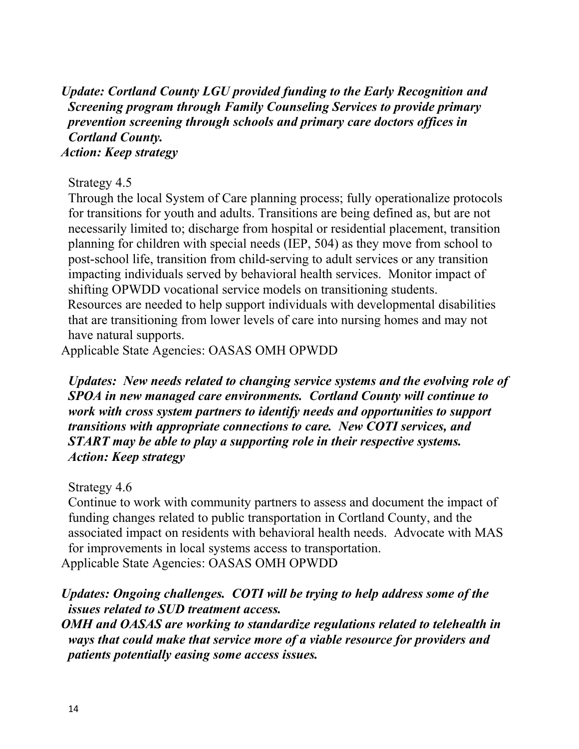*Update: Cortland County LGU provided funding to the Early Recognition and Screening program through Family Counseling Services to provide primary prevention screening through schools and primary care doctors offices in Cortland County. Action: Keep strategy*

## Strategy 4.5

Through the local System of Care planning process; fully operationalize protocols for transitions for youth and adults. Transitions are being defined as, but are not necessarily limited to; discharge from hospital or residential placement, transition planning for children with special needs (IEP, 504) as they move from school to post-school life, transition from child-serving to adult services or any transition impacting individuals served by behavioral health services. Monitor impact of shifting OPWDD vocational service models on transitioning students. Resources are needed to help support individuals with developmental disabilities that are transitioning from lower levels of care into nursing homes and may not have natural supports.

Applicable State Agencies: OASAS OMH OPWDD

*Updates: New needs related to changing service systems and the evolving role of SPOA in new managed care environments. Cortland County will continue to work with cross system partners to identify needs and opportunities to support transitions with appropriate connections to care. New COTI services, and START may be able to play a supporting role in their respective systems. Action: Keep strategy*

### Strategy 4.6

Continue to work with community partners to assess and document the impact of funding changes related to public transportation in Cortland County, and the associated impact on residents with behavioral health needs. Advocate with MAS for improvements in local systems access to transportation. Applicable State Agencies: OASAS OMH OPWDD

## *Updates: Ongoing challenges. COTI will be trying to help address some of the issues related to SUD treatment access.*

*OMH and OASAS are working to standardize regulations related to telehealth in ways that could make that service more of a viable resource for providers and patients potentially easing some access issues.*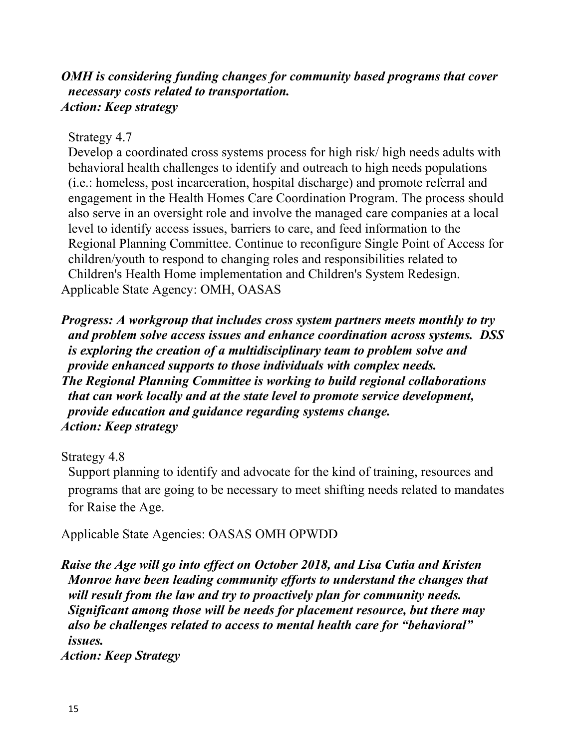## *OMH is considering funding changes for community based programs that cover necessary costs related to transportation. Action: Keep strategy*

Strategy 4.7

Develop a coordinated cross systems process for high risk/ high needs adults with behavioral health challenges to identify and outreach to high needs populations (i.e.: homeless, post incarceration, hospital discharge) and promote referral and engagement in the Health Homes Care Coordination Program. The process should also serve in an oversight role and involve the managed care companies at a local level to identify access issues, barriers to care, and feed information to the Regional Planning Committee. Continue to reconfigure Single Point of Access for children/youth to respond to changing roles and responsibilities related to Children's Health Home implementation and Children's System Redesign. Applicable State Agency: OMH, OASAS

*Progress: A workgroup that includes cross system partners meets monthly to try and problem solve access issues and enhance coordination across systems. DSS is exploring the creation of a multidisciplinary team to problem solve and provide enhanced supports to those individuals with complex needs. The Regional Planning Committee is working to build regional collaborations that can work locally and at the state level to promote service development, provide education and guidance regarding systems change. Action: Keep strategy* 

Strategy 4.8

Support planning to identify and advocate for the kind of training, resources and programs that are going to be necessary to meet shifting needs related to mandates for Raise the Age.

Applicable State Agencies: OASAS OMH OPWDD

*Raise the Age will go into effect on October 2018, and Lisa Cutia and Kristen Monroe have been leading community efforts to understand the changes that will result from the law and try to proactively plan for community needs. Significant among those will be needs for placement resource, but there may also be challenges related to access to mental health care for "behavioral" issues.*

*Action: Keep Strategy*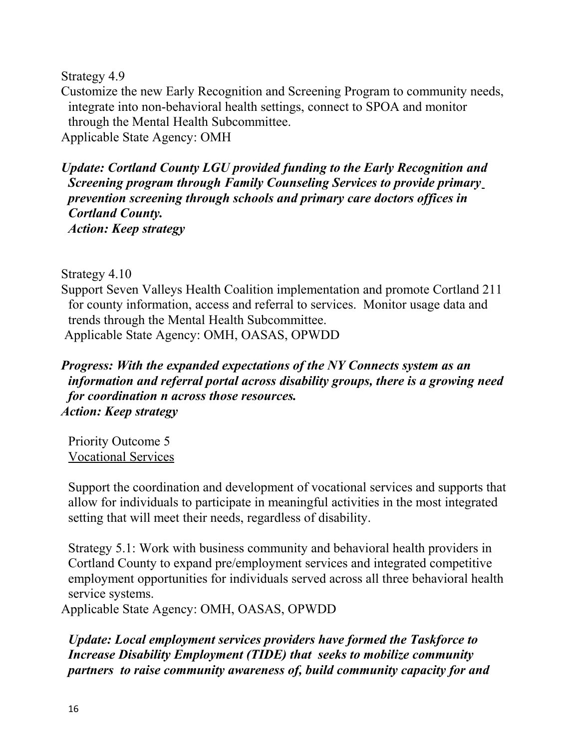Strategy 4.9

Customize the new Early Recognition and Screening Program to community needs, integrate into non-behavioral health settings, connect to SPOA and monitor through the Mental Health Subcommittee. Applicable State Agency: OMH

*Update: Cortland County LGU provided funding to the Early Recognition and Screening program through Family Counseling Services to provide primary prevention screening through schools and primary care doctors offices in Cortland County. Action: Keep strategy*

Strategy 4.10

Support Seven Valleys Health Coalition implementation and promote Cortland 211 for county information, access and referral to services. Monitor usage data and trends through the Mental Health Subcommittee. Applicable State Agency: OMH, OASAS, OPWDD

## *Progress: With the expanded expectations of the NY Connects system as an information and referral portal across disability groups, there is a growing need for coordination n across those resources. Action: Keep strategy*

Priority Outcome 5 Vocational Services

Support the coordination and development of vocational services and supports that allow for individuals to participate in meaningful activities in the most integrated setting that will meet their needs, regardless of disability.

Strategy 5.1: Work with business community and behavioral health providers in Cortland County to expand pre/employment services and integrated competitive employment opportunities for individuals served across all three behavioral health service systems.

Applicable State Agency: OMH, OASAS, OPWDD

*Update: Local employment services providers have formed the Taskforce to Increase Disability Employment (TIDE) that seeks to mobilize community partners to raise community awareness of, build community capacity for and*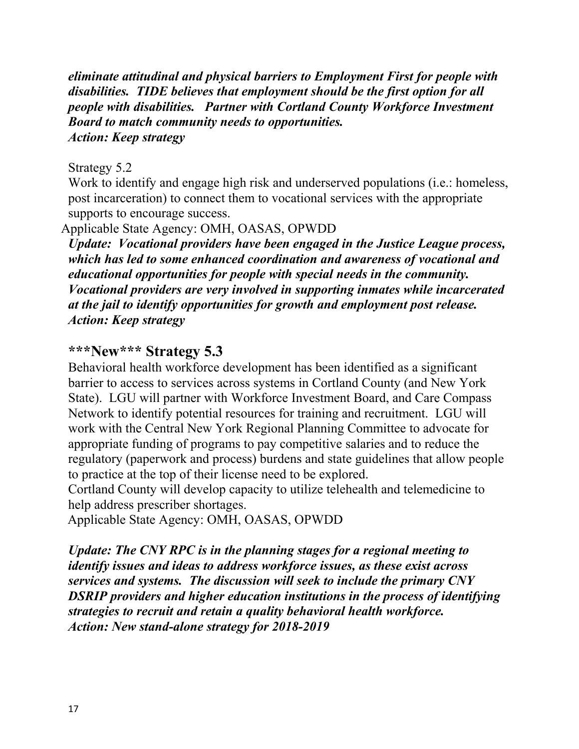*eliminate attitudinal and physical barriers to Employment First for people with disabilities. TIDE believes that employment should be the first option for all people with disabilities. Partner with Cortland County Workforce Investment Board to match community needs to opportunities. Action: Keep strategy*

## Strategy 5.2

Work to identify and engage high risk and underserved populations (i.e.: homeless, post incarceration) to connect them to vocational services with the appropriate supports to encourage success.

## Applicable State Agency: OMH, OASAS, OPWDD

*Update: Vocational providers have been engaged in the Justice League process, which has led to some enhanced coordination and awareness of vocational and educational opportunities for people with special needs in the community. Vocational providers are very involved in supporting inmates while incarcerated at the jail to identify opportunities for growth and employment post release. Action: Keep strategy*

## **\*\*\*New\*\*\* Strategy 5.3**

Behavioral health workforce development has been identified as a significant barrier to access to services across systems in Cortland County (and New York State). LGU will partner with Workforce Investment Board, and Care Compass Network to identify potential resources for training and recruitment. LGU will work with the Central New York Regional Planning Committee to advocate for appropriate funding of programs to pay competitive salaries and to reduce the regulatory (paperwork and process) burdens and state guidelines that allow people to practice at the top of their license need to be explored.

Cortland County will develop capacity to utilize telehealth and telemedicine to help address prescriber shortages.

Applicable State Agency: OMH, OASAS, OPWDD

*Update: The CNY RPC is in the planning stages for a regional meeting to identify issues and ideas to address workforce issues, as these exist across services and systems. The discussion will seek to include the primary CNY DSRIP providers and higher education institutions in the process of identifying strategies to recruit and retain a quality behavioral health workforce. Action: New stand-alone strategy for 2018-2019*